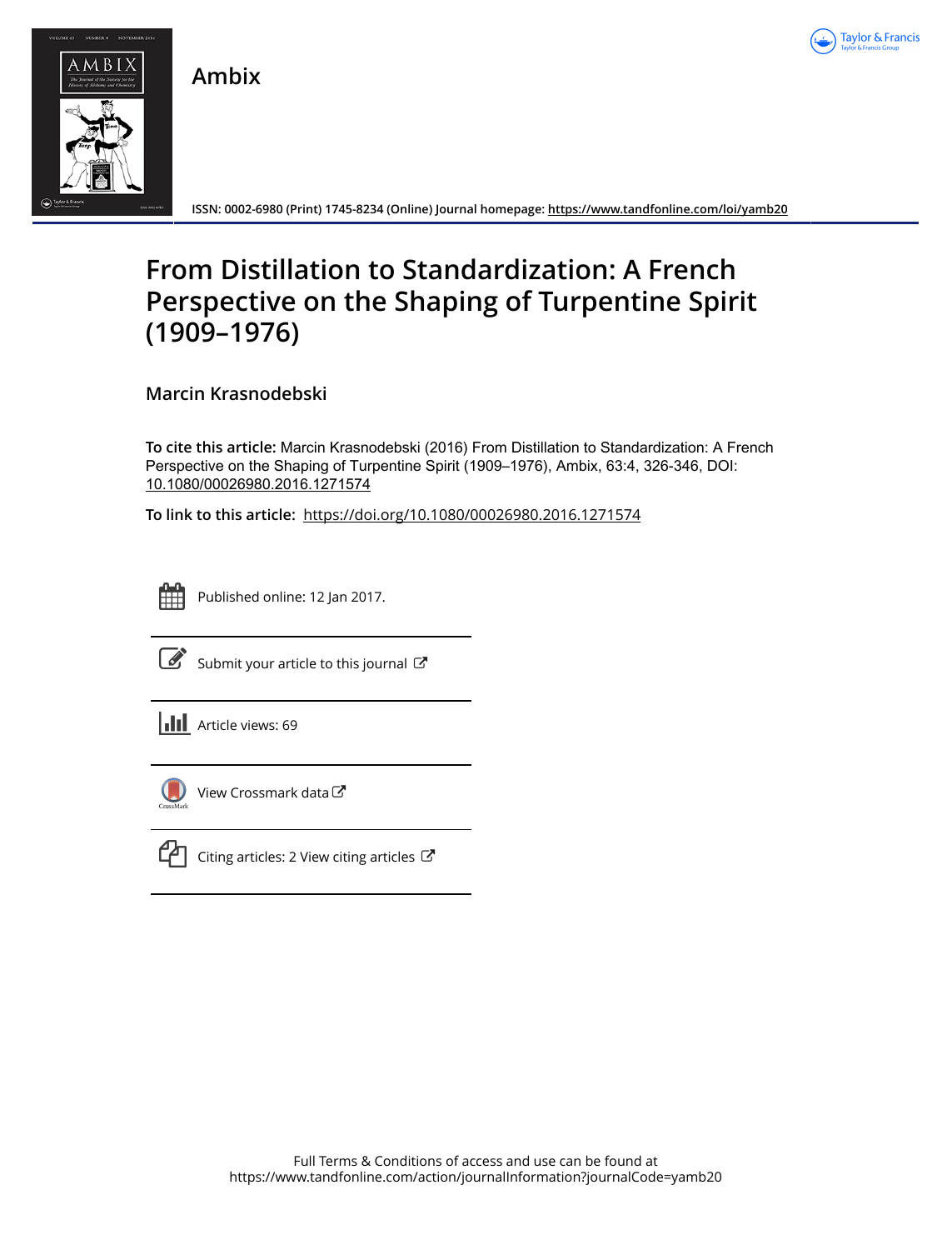

**Ambix**



**ISSN: 0002-6980 (Print) 1745-8234 (Online) Journal homepage:<https://www.tandfonline.com/loi/yamb20>**

## **From Distillation to Standardization: A French Perspective on the Shaping of Turpentine Spirit (1909–1976)**

**Marcin Krasnodebski**

**To cite this article:** Marcin Krasnodebski (2016) From Distillation to Standardization: A French Perspective on the Shaping of Turpentine Spirit (1909–1976), Ambix, 63:4, 326-346, DOI: [10.1080/00026980.2016.1271574](https://www.tandfonline.com/action/showCitFormats?doi=10.1080/00026980.2016.1271574)

**To link to this article:** <https://doi.org/10.1080/00026980.2016.1271574>



Published online: 12 Jan 2017.



 $\overrightarrow{S}$  [Submit your article to this journal](https://www.tandfonline.com/action/authorSubmission?journalCode=yamb20&show=instructions)  $G$ 





 $\bigcirc$  [View Crossmark data](http://crossmark.crossref.org/dialog/?doi=10.1080/00026980.2016.1271574&domain=pdf&date_stamp=2017-01-12) $\mathbb{Z}$ 



 $\mathbb{C}$  [Citing articles: 2 View citing articles](https://www.tandfonline.com/doi/citedby/10.1080/00026980.2016.1271574#tabModule)  $\mathbb{C}$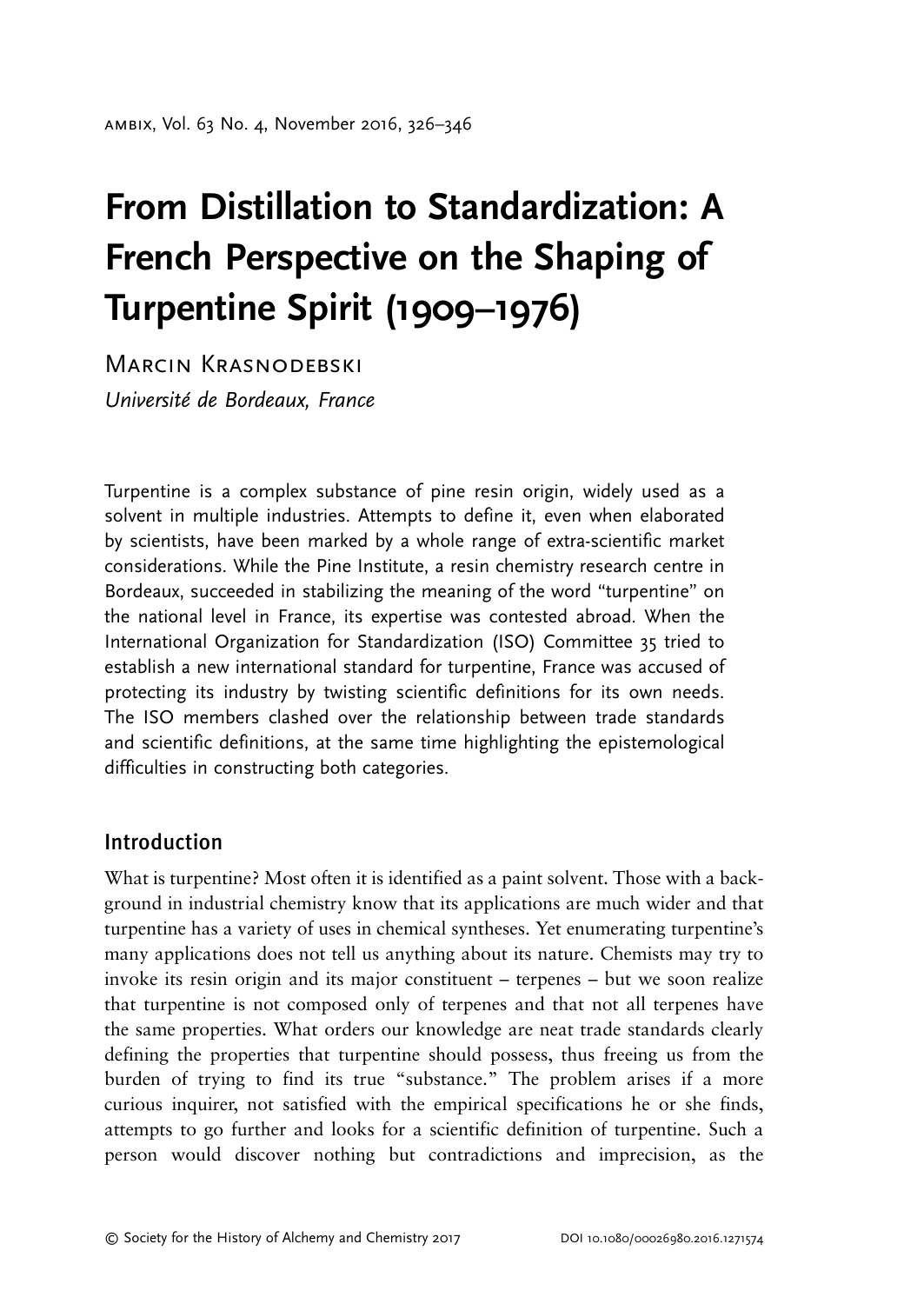# From Distillation to Standardization: A French Perspective on the Shaping of Turpentine Spirit (1909–1976)

MARCIN KRASNODEBSKI Université de Bordeaux, France

Turpentine is a complex substance of pine resin origin, widely used as a solvent in multiple industries. Attempts to define it, even when elaborated by scientists, have been marked by a whole range of extra-scientific market considerations. While the Pine Institute, a resin chemistry research centre in Bordeaux, succeeded in stabilizing the meaning of the word "turpentine" on the national level in France, its expertise was contested abroad. When the International Organization for Standardization (ISO) Committee 35 tried to establish a new international standard for turpentine, France was accused of protecting its industry by twisting scientific definitions for its own needs. The ISO members clashed over the relationship between trade standards and scientific definitions, at the same time highlighting the epistemological difficulties in constructing both categories.

## Introduction

What is turpentine? Most often it is identified as a paint solvent. Those with a background in industrial chemistry know that its applications are much wider and that turpentine has a variety of uses in chemical syntheses. Yet enumerating turpentine's many applications does not tell us anything about its nature. Chemists may try to invoke its resin origin and its major constituent – terpenes – but we soon realize that turpentine is not composed only of terpenes and that not all terpenes have the same properties. What orders our knowledge are neat trade standards clearly defining the properties that turpentine should possess, thus freeing us from the burden of trying to find its true "substance." The problem arises if a more curious inquirer, not satisfied with the empirical specifications he or she finds, attempts to go further and looks for a scientific definition of turpentine. Such a person would discover nothing but contradictions and imprecision, as the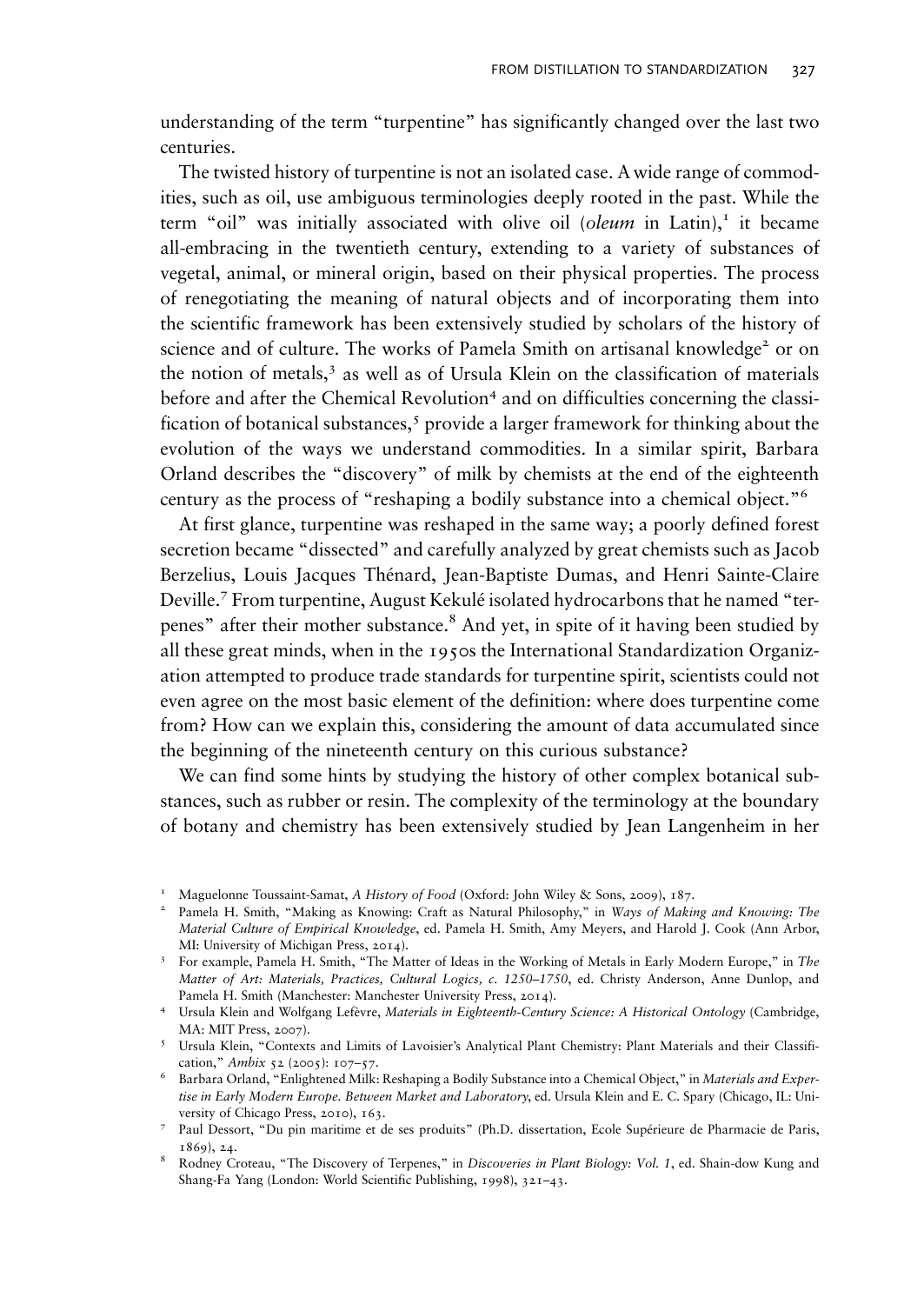understanding of the term "turpentine" has significantly changed over the last two centuries.

The twisted history of turpentine is not an isolated case. A wide range of commodities, such as oil, use ambiguous terminologies deeply rooted in the past. While the term "oil" was initially associated with olive oil (oleum in Latin), $\frac{1}{x}$  it became all-embracing in the twentieth century, extending to a variety of substances of vegetal, animal, or mineral origin, based on their physical properties. The process of renegotiating the meaning of natural objects and of incorporating them into the scientific framework has been extensively studied by scholars of the history of science and of culture. The works of Pamela Smith on artisanal knowledge<sup>2</sup> or on the notion of metals, $3$  as well as of Ursula Klein on the classification of materials before and after the Chemical Revolution<sup>4</sup> and on difficulties concerning the classification of botanical substances,<sup>5</sup> provide a larger framework for thinking about the evolution of the ways we understand commodities. In a similar spirit, Barbara Orland describes the "discovery" of milk by chemists at the end of the eighteenth century as the process of "reshaping a bodily substance into a chemical object."<sup>6</sup>

At first glance, turpentine was reshaped in the same way; a poorly defined forest secretion became "dissected" and carefully analyzed by great chemists such as Jacob Berzelius, Louis Jacques Thénard, Jean-Baptiste Dumas, and Henri Sainte-Claire Deville.<sup>7</sup> From turpentine, August Kekulé isolated hydrocarbons that he named "terpenes" after their mother substance.8 And yet, in spite of it having been studied by all these great minds, when in the 1950s the International Standardization Organization attempted to produce trade standards for turpentine spirit, scientists could not even agree on the most basic element of the definition: where does turpentine come from? How can we explain this, considering the amount of data accumulated since the beginning of the nineteenth century on this curious substance?

We can find some hints by studying the history of other complex botanical substances, such as rubber or resin. The complexity of the terminology at the boundary of botany and chemistry has been extensively studied by Jean Langenheim in her

<sup>&</sup>lt;sup>1</sup> Maguelonne Toussaint-Samat, A History of Food (Oxford: John Wiley & Sons, 2009), 187.

<sup>&</sup>lt;sup>2</sup> Pamela H. Smith, "Making as Knowing: Craft as Natural Philosophy," in Ways of Making and Knowing: The Material Culture of Empirical Knowledge, ed. Pamela H. Smith, Amy Meyers, and Harold J. Cook (Ann Arbor, MI: University of Michigan Press, 2014).

<sup>&</sup>lt;sup>3</sup> For example, Pamela H. Smith, "The Matter of Ideas in the Working of Metals in Early Modern Europe," in The Matter of Art: Materials, Practices, Cultural Logics, c. 1250–1750, ed. Christy Anderson, Anne Dunlop, and Pamela H. Smith (Manchester: Manchester University Press, 2014).

<sup>4</sup> Ursula Klein and Wolfgang Lefèvre, Materials in Eighteenth-Century Science: A Historical Ontology (Cambridge, MA: MIT Press, 2007).

<sup>5</sup> Ursula Klein, "Contexts and Limits of Lavoisier's Analytical Plant Chemistry: Plant Materials and their Classification," Ambix 52 (2005): 107–57.

<sup>&</sup>lt;sup>6</sup> Barbara Orland, "Enlightened Milk: Reshaping a Bodily Substance into a Chemical Object," in Materials and Expertise in Early Modern Europe. Between Market and Laboratory, ed. Ursula Klein and E. C. Spary (Chicago, IL: University of Chicago Press, 2010), 163.

<sup>7</sup> Paul Dessort, "Du pin maritime et de ses produits" (Ph.D. dissertation, Ecole Supérieure de Pharmacie de Paris, 1869), 24.

<sup>&</sup>lt;sup>8</sup> Rodney Croteau, "The Discovery of Terpenes," in Discoveries in Plant Biology: Vol. 1, ed. Shain-dow Kung and Shang-Fa Yang (London: World Scientific Publishing, 1998), 321–43.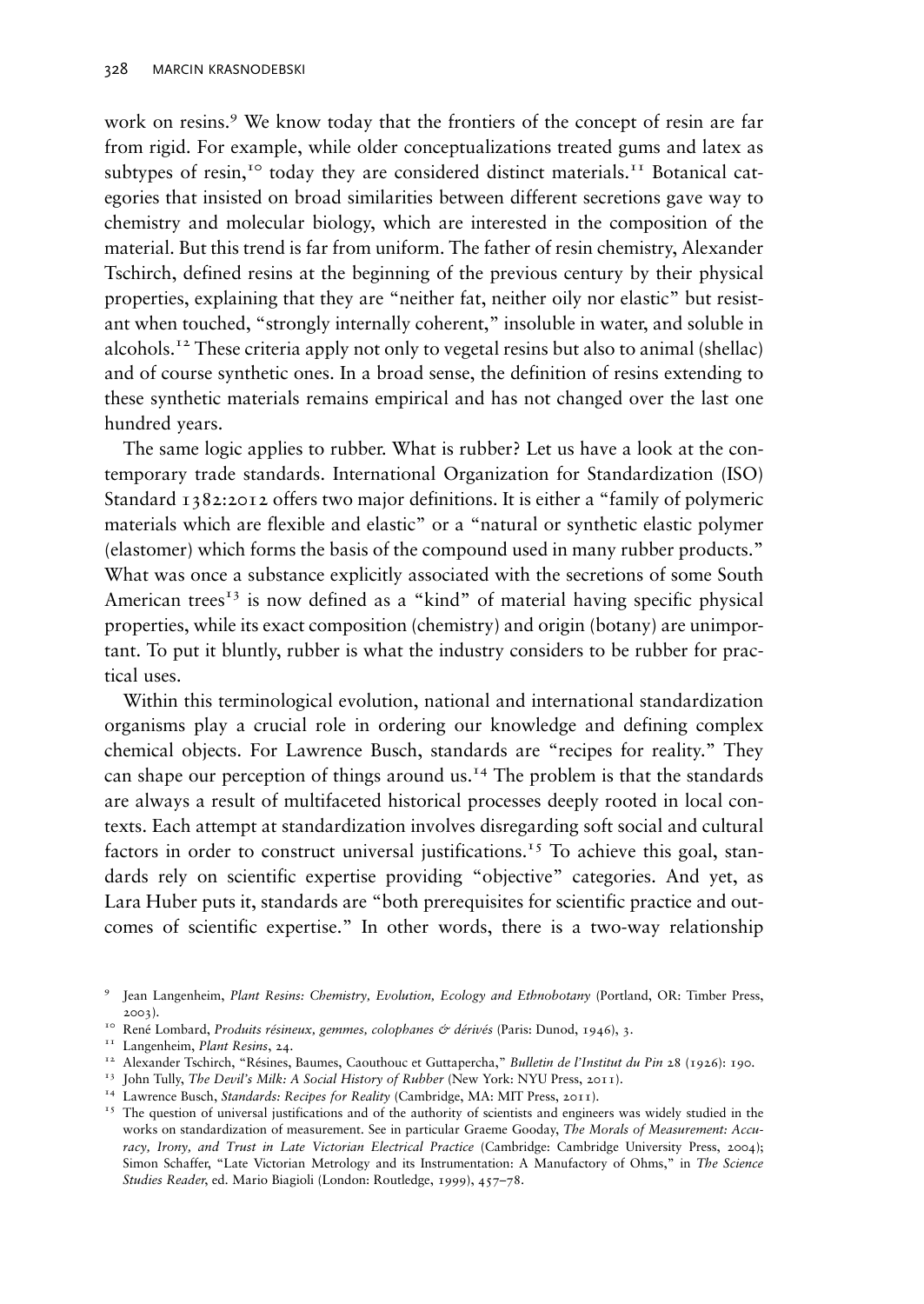work on resins.<sup>9</sup> We know today that the frontiers of the concept of resin are far from rigid. For example, while older conceptualizations treated gums and latex as subtypes of resin,<sup>10</sup> today they are considered distinct materials.<sup>11</sup> Botanical categories that insisted on broad similarities between different secretions gave way to chemistry and molecular biology, which are interested in the composition of the material. But this trend is far from uniform. The father of resin chemistry, Alexander Tschirch, defined resins at the beginning of the previous century by their physical properties, explaining that they are "neither fat, neither oily nor elastic" but resistant when touched, "strongly internally coherent," insoluble in water, and soluble in alcohols.<sup>12</sup> These criteria apply not only to vegetal resins but also to animal (shellac) and of course synthetic ones. In a broad sense, the definition of resins extending to these synthetic materials remains empirical and has not changed over the last one hundred years.

The same logic applies to rubber. What is rubber? Let us have a look at the contemporary trade standards. International Organization for Standardization (ISO) Standard 1382:2012 offers two major definitions. It is either a "family of polymeric materials which are flexible and elastic" or a "natural or synthetic elastic polymer (elastomer) which forms the basis of the compound used in many rubber products." What was once a substance explicitly associated with the secretions of some South American trees<sup>13</sup> is now defined as a "kind" of material having specific physical properties, while its exact composition (chemistry) and origin (botany) are unimportant. To put it bluntly, rubber is what the industry considers to be rubber for practical uses.

Within this terminological evolution, national and international standardization organisms play a crucial role in ordering our knowledge and defining complex chemical objects. For Lawrence Busch, standards are "recipes for reality." They can shape our perception of things around us.<sup>14</sup> The problem is that the standards are always a result of multifaceted historical processes deeply rooted in local contexts. Each attempt at standardization involves disregarding soft social and cultural factors in order to construct universal justifications.<sup>15</sup> To achieve this goal, standards rely on scientific expertise providing "objective" categories. And yet, as Lara Huber puts it, standards are "both prerequisites for scientific practice and outcomes of scientific expertise." In other words, there is a two-way relationship

<sup>9</sup> Jean Langenheim, Plant Resins: Chemistry, Evolution, Ecology and Ethnobotany (Portland, OR: Timber Press, 2003).

<sup>&</sup>lt;sup>10</sup> René Lombard, Produits résineux, gemmes, colophanes & dérivés (Paris: Dunod, 1946), 3.

<sup>&</sup>lt;sup>11</sup> Langenheim, Plant Resins, 24.

<sup>&</sup>lt;sup>12</sup> Alexander Tschirch, "Résines, Baumes, Caouthouc et Guttapercha," Bulletin de l'Institut du Pin 28 (1926): 190.

<sup>&</sup>lt;sup>13</sup> John Tully, *The Devil's Milk: A Social History of Rubber* (New York: NYU Press, 2011).

<sup>&</sup>lt;sup>14</sup> Lawrence Busch, Standards: Recipes for Reality (Cambridge, MA: MIT Press, 2011).

<sup>&</sup>lt;sup>15</sup> The question of universal justifications and of the authority of scientists and engineers was widely studied in the works on standardization of measurement. See in particular Graeme Gooday, The Morals of Measurement: Accuracy, Irony, and Trust in Late Victorian Electrical Practice (Cambridge: Cambridge University Press, 2004); Simon Schaffer, "Late Victorian Metrology and its Instrumentation: A Manufactory of Ohms," in The Science Studies Reader, ed. Mario Biagioli (London: Routledge, 1999), 457–78.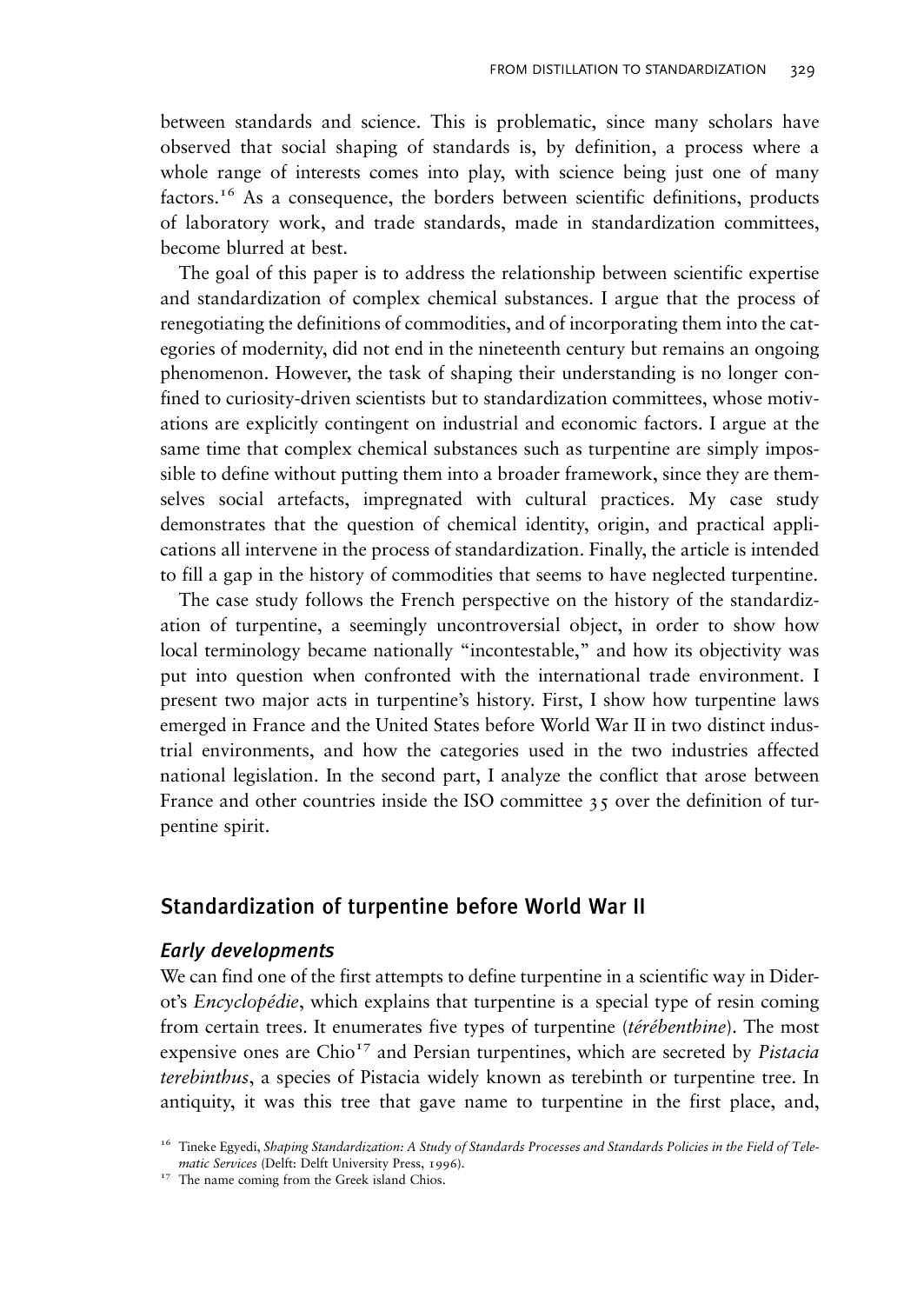between standards and science. This is problematic, since many scholars have observed that social shaping of standards is, by definition, a process where a whole range of interests comes into play, with science being just one of many factors.<sup>16</sup> As a consequence, the borders between scientific definitions, products of laboratory work, and trade standards, made in standardization committees, become blurred at best.

The goal of this paper is to address the relationship between scientific expertise and standardization of complex chemical substances. I argue that the process of renegotiating the definitions of commodities, and of incorporating them into the categories of modernity, did not end in the nineteenth century but remains an ongoing phenomenon. However, the task of shaping their understanding is no longer confined to curiosity-driven scientists but to standardization committees, whose motivations are explicitly contingent on industrial and economic factors. I argue at the same time that complex chemical substances such as turpentine are simply impossible to define without putting them into a broader framework, since they are themselves social artefacts, impregnated with cultural practices. My case study demonstrates that the question of chemical identity, origin, and practical applications all intervene in the process of standardization. Finally, the article is intended to fill a gap in the history of commodities that seems to have neglected turpentine.

The case study follows the French perspective on the history of the standardization of turpentine, a seemingly uncontroversial object, in order to show how local terminology became nationally "incontestable," and how its objectivity was put into question when confronted with the international trade environment. I present two major acts in turpentine's history. First, I show how turpentine laws emerged in France and the United States before World War II in two distinct industrial environments, and how the categories used in the two industries affected national legislation. In the second part, I analyze the conflict that arose between France and other countries inside the ISO committee 35 over the definition of turpentine spirit.

### Standardization of turpentine before World War II

#### Early developments

We can find one of the first attempts to define turpentine in a scientific way in Diderot's Encyclopédie, which explains that turpentine is a special type of resin coming from certain trees. It enumerates five types of turpentine (térébenthine). The most expensive ones are  $Chi^7$  and Persian turpentines, which are secreted by Pistacia terebinthus, a species of Pistacia widely known as terebinth or turpentine tree. In antiquity, it was this tree that gave name to turpentine in the first place, and,

<sup>&</sup>lt;sup>16</sup> Tineke Egyedi, Shaping Standardization: A Study of Standards Processes and Standards Policies in the Field of Telematic Services (Delft: Delft University Press, 1996).

<sup>&</sup>lt;sup>17</sup> The name coming from the Greek island Chios.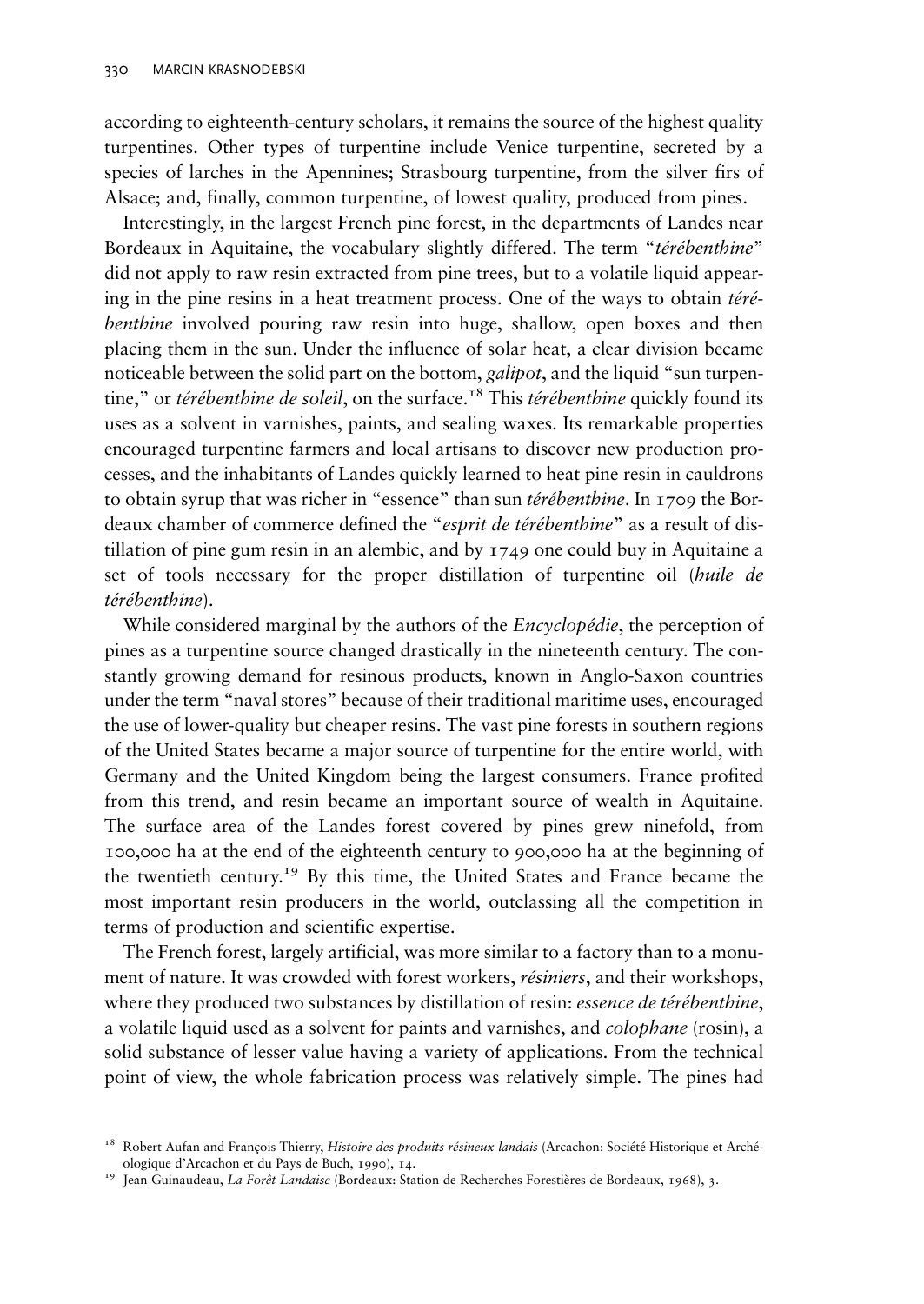according to eighteenth-century scholars, it remains the source of the highest quality turpentines. Other types of turpentine include Venice turpentine, secreted by a species of larches in the Apennines; Strasbourg turpentine, from the silver firs of Alsace; and, finally, common turpentine, of lowest quality, produced from pines.

Interestingly, in the largest French pine forest, in the departments of Landes near Bordeaux in Aquitaine, the vocabulary slightly differed. The term "térébenthine" did not apply to raw resin extracted from pine trees, but to a volatile liquid appearing in the pine resins in a heat treatment process. One of the ways to obtain térébenthine involved pouring raw resin into huge, shallow, open boxes and then placing them in the sun. Under the influence of solar heat, a clear division became noticeable between the solid part on the bottom, galipot, and the liquid "sun turpentine," or térébenthine de soleil, on the surface.<sup>18</sup> This térébenthine quickly found its uses as a solvent in varnishes, paints, and sealing waxes. Its remarkable properties encouraged turpentine farmers and local artisans to discover new production processes, and the inhabitants of Landes quickly learned to heat pine resin in cauldrons to obtain syrup that was richer in "essence" than sun *térébenthine*. In 1709 the Bordeaux chamber of commerce defined the "*esprit de térébenthine*" as a result of distillation of pine gum resin in an alembic, and by 1749 one could buy in Aquitaine a set of tools necessary for the proper distillation of turpentine oil (huile de térébenthine).

While considered marginal by the authors of the *Encyclopédie*, the perception of pines as a turpentine source changed drastically in the nineteenth century. The constantly growing demand for resinous products, known in Anglo-Saxon countries under the term "naval stores" because of their traditional maritime uses, encouraged the use of lower-quality but cheaper resins. The vast pine forests in southern regions of the United States became a major source of turpentine for the entire world, with Germany and the United Kingdom being the largest consumers. France profited from this trend, and resin became an important source of wealth in Aquitaine. The surface area of the Landes forest covered by pines grew ninefold, from 100,000 ha at the end of the eighteenth century to 900,000 ha at the beginning of the twentieth century.<sup>19</sup> By this time, the United States and France became the most important resin producers in the world, outclassing all the competition in terms of production and scientific expertise.

The French forest, largely artificial, was more similar to a factory than to a monument of nature. It was crowded with forest workers, *résiniers*, and their workshops, where they produced two substances by distillation of resin: *essence de térébenthine*, a volatile liquid used as a solvent for paints and varnishes, and *colophane* (rosin), a solid substance of lesser value having a variety of applications. From the technical point of view, the whole fabrication process was relatively simple. The pines had

<sup>&</sup>lt;sup>18</sup> Robert Aufan and François Thierry, Histoire des produits résineux landais (Arcachon: Société Historique et Archéologique d'Arcachon et du Pays de Buch, 1990), 14.

<sup>&</sup>lt;sup>19</sup> Jean Guinaudeau, La Forêt Landaise (Bordeaux: Station de Recherches Forestières de Bordeaux, 1968), 3.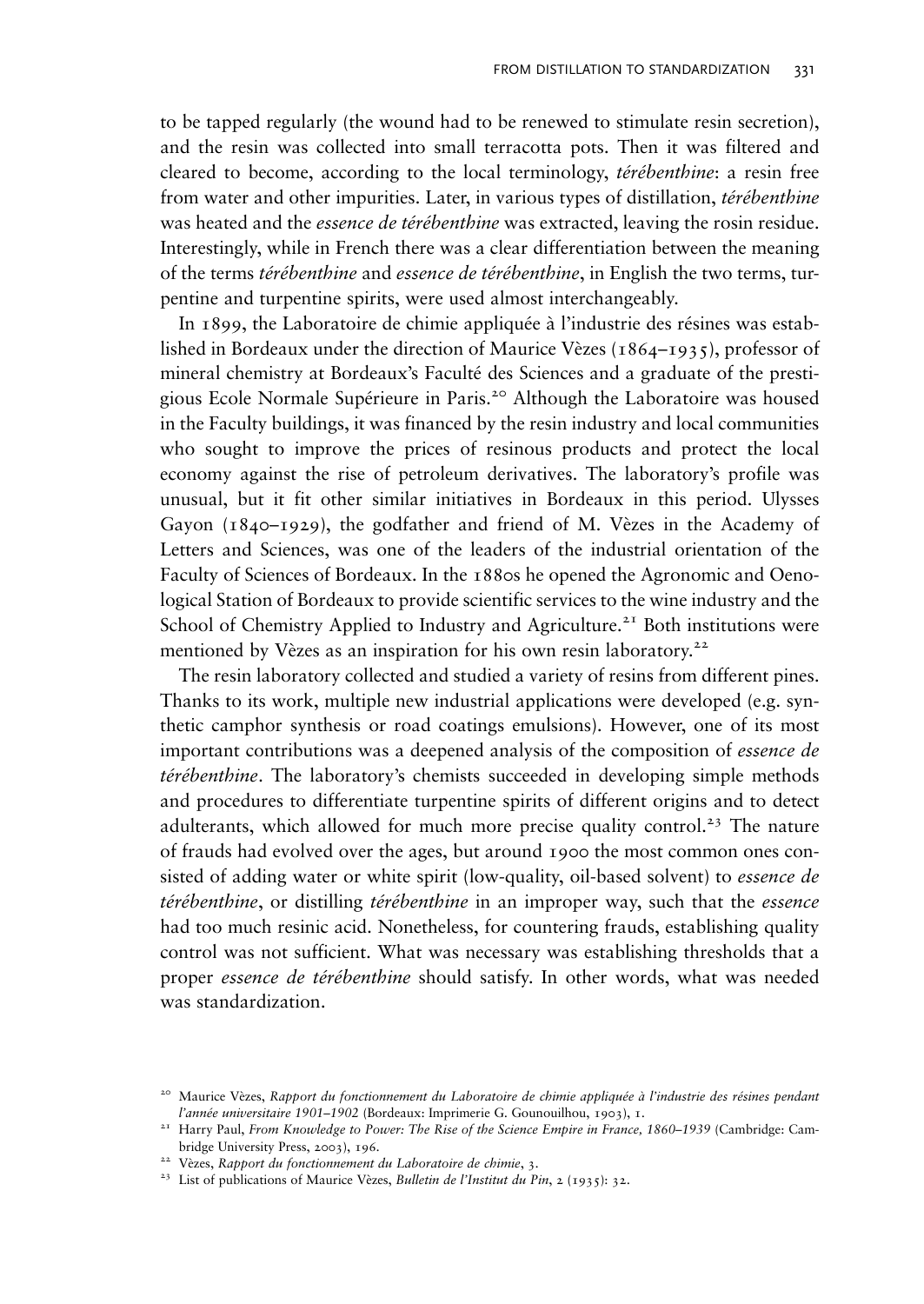to be tapped regularly (the wound had to be renewed to stimulate resin secretion), and the resin was collected into small terracotta pots. Then it was filtered and cleared to become, according to the local terminology, *térébenthine*: a resin free from water and other impurities. Later, in various types of distillation, térébenthine was heated and the *essence de térébenthine* was extracted, leaving the rosin residue. Interestingly, while in French there was a clear differentiation between the meaning of the terms térébenthine and essence de térébenthine, in English the two terms, turpentine and turpentine spirits, were used almost interchangeably.

In 1899, the Laboratoire de chimie appliquée à l'industrie des résines was established in Bordeaux under the direction of Maurice Vèzes (1864–1935), professor of mineral chemistry at Bordeaux's Faculté des Sciences and a graduate of the prestigious Ecole Normale Supérieure in Paris.<sup>20</sup> Although the Laboratoire was housed in the Faculty buildings, it was financed by the resin industry and local communities who sought to improve the prices of resinous products and protect the local economy against the rise of petroleum derivatives. The laboratory's profile was unusual, but it fit other similar initiatives in Bordeaux in this period. Ulysses Gayon (1840–1929), the godfather and friend of M. Vèzes in the Academy of Letters and Sciences, was one of the leaders of the industrial orientation of the Faculty of Sciences of Bordeaux. In the 1880s he opened the Agronomic and Oenological Station of Bordeaux to provide scientific services to the wine industry and the School of Chemistry Applied to Industry and Agriculture.<sup>21</sup> Both institutions were mentioned by Vèzes as an inspiration for his own resin laboratory.<sup>22</sup>

The resin laboratory collected and studied a variety of resins from different pines. Thanks to its work, multiple new industrial applications were developed (e.g. synthetic camphor synthesis or road coatings emulsions). However, one of its most important contributions was a deepened analysis of the composition of essence de térébenthine. The laboratory's chemists succeeded in developing simple methods and procedures to differentiate turpentine spirits of different origins and to detect adulterants, which allowed for much more precise quality control.<sup>23</sup> The nature of frauds had evolved over the ages, but around 1900 the most common ones consisted of adding water or white spirit (low-quality, oil-based solvent) to essence de térébenthine, or distilling térébenthine in an improper way, such that the *essence* had too much resinic acid. Nonetheless, for countering frauds, establishing quality control was not sufficient. What was necessary was establishing thresholds that a proper essence de térébenthine should satisfy. In other words, what was needed was standardization.

<sup>&</sup>lt;sup>20</sup> Maurice Vèzes, Rapport du fonctionnement du Laboratoire de chimie appliquée à l'industrie des résines pendant l'année universitaire 1901–1902 (Bordeaux: Imprimerie G. Gounouilhou, 1903), 1.

<sup>&</sup>lt;sup>21</sup> Harry Paul, From Knowledge to Power: The Rise of the Science Empire in France, 1860–1939 (Cambridge: Cambridge University Press, 2003), 196.

<sup>&</sup>lt;sup>22</sup> Vèzes, Rapport du fonctionnement du Laboratoire de chimie, 3.

<sup>&</sup>lt;sup>23</sup> List of publications of Maurice Vèzes, Bulletin de l'Institut du Pin, 2 (1935): 32.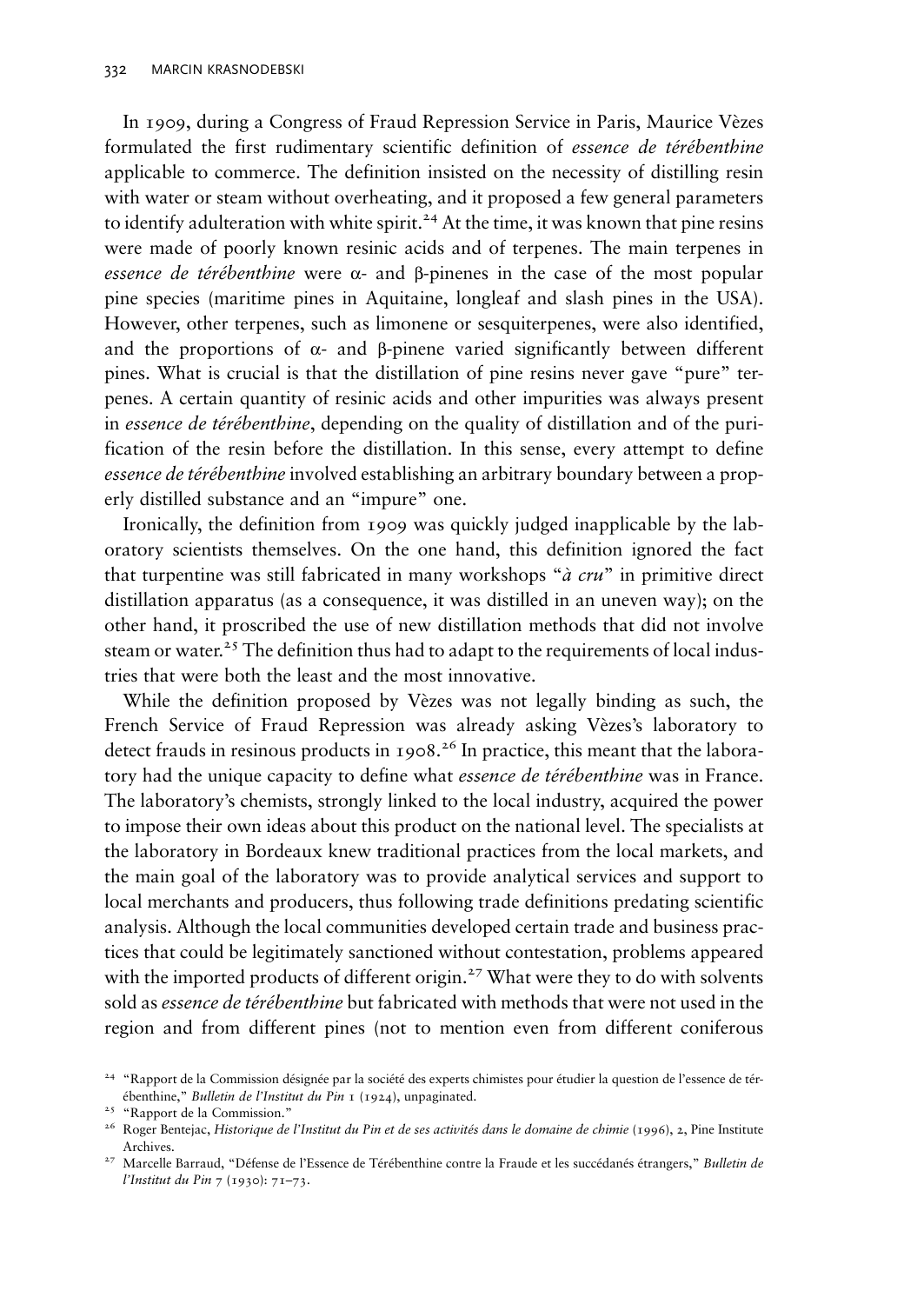In 1909, during a Congress of Fraud Repression Service in Paris, Maurice Vèzes formulated the first rudimentary scientific definition of essence de térébenthine applicable to commerce. The definition insisted on the necessity of distilling resin with water or steam without overheating, and it proposed a few general parameters to identify adulteration with white spirit.<sup>24</sup> At the time, it was known that pine resins were made of poorly known resinic acids and of terpenes. The main terpenes in essence de térébenthine were α- and β-pinenes in the case of the most popular pine species (maritime pines in Aquitaine, longleaf and slash pines in the USA). However, other terpenes, such as limonene or sesquiterpenes, were also identified, and the proportions of  $\alpha$ - and  $\beta$ -pinene varied significantly between different pines. What is crucial is that the distillation of pine resins never gave "pure" terpenes. A certain quantity of resinic acids and other impurities was always present in essence de térébenthine, depending on the quality of distillation and of the purification of the resin before the distillation. In this sense, every attempt to define essence de térébenthine involved establishing an arbitrary boundary between a properly distilled substance and an "impure" one.

Ironically, the definition from 1909 was quickly judged inapplicable by the laboratory scientists themselves. On the one hand, this definition ignored the fact that turpentine was still fabricated in many workshops " $\hat{a}$  cru" in primitive direct distillation apparatus (as a consequence, it was distilled in an uneven way); on the other hand, it proscribed the use of new distillation methods that did not involve steam or water.<sup>25</sup> The definition thus had to adapt to the requirements of local industries that were both the least and the most innovative.

While the definition proposed by Vèzes was not legally binding as such, the French Service of Fraud Repression was already asking Vèzes's laboratory to detect frauds in resinous products in 1908.<sup>26</sup> In practice, this meant that the laboratory had the unique capacity to define what essence de térébenthine was in France. The laboratory's chemists, strongly linked to the local industry, acquired the power to impose their own ideas about this product on the national level. The specialists at the laboratory in Bordeaux knew traditional practices from the local markets, and the main goal of the laboratory was to provide analytical services and support to local merchants and producers, thus following trade definitions predating scientific analysis. Although the local communities developed certain trade and business practices that could be legitimately sanctioned without contestation, problems appeared with the imported products of different origin.<sup>27</sup> What were they to do with solvents sold as *essence de térébenthine* but fabricated with methods that were not used in the region and from different pines (not to mention even from different coniferous

<sup>24</sup> "Rapport de la Commission désignée par la société des experts chimistes pour étudier la question de l'essence de térébenthine," Bulletin de l'Institut du Pin 1 (1924), unpaginated.

<sup>&</sup>lt;sup>25</sup> "Rapport de la Commission."

<sup>&</sup>lt;sup>26</sup> Roger Bentejac, Historique de l'Institut du Pin et de ses activités dans le domaine de chimie (1996), 2, Pine Institute Archives.

<sup>&</sup>lt;sup>27</sup> Marcelle Barraud, "Défense de l'Essence de Térébenthine contre la Fraude et les succédanés étrangers," Bulletin de l'Institut du Pin 7 (1930): 71–73.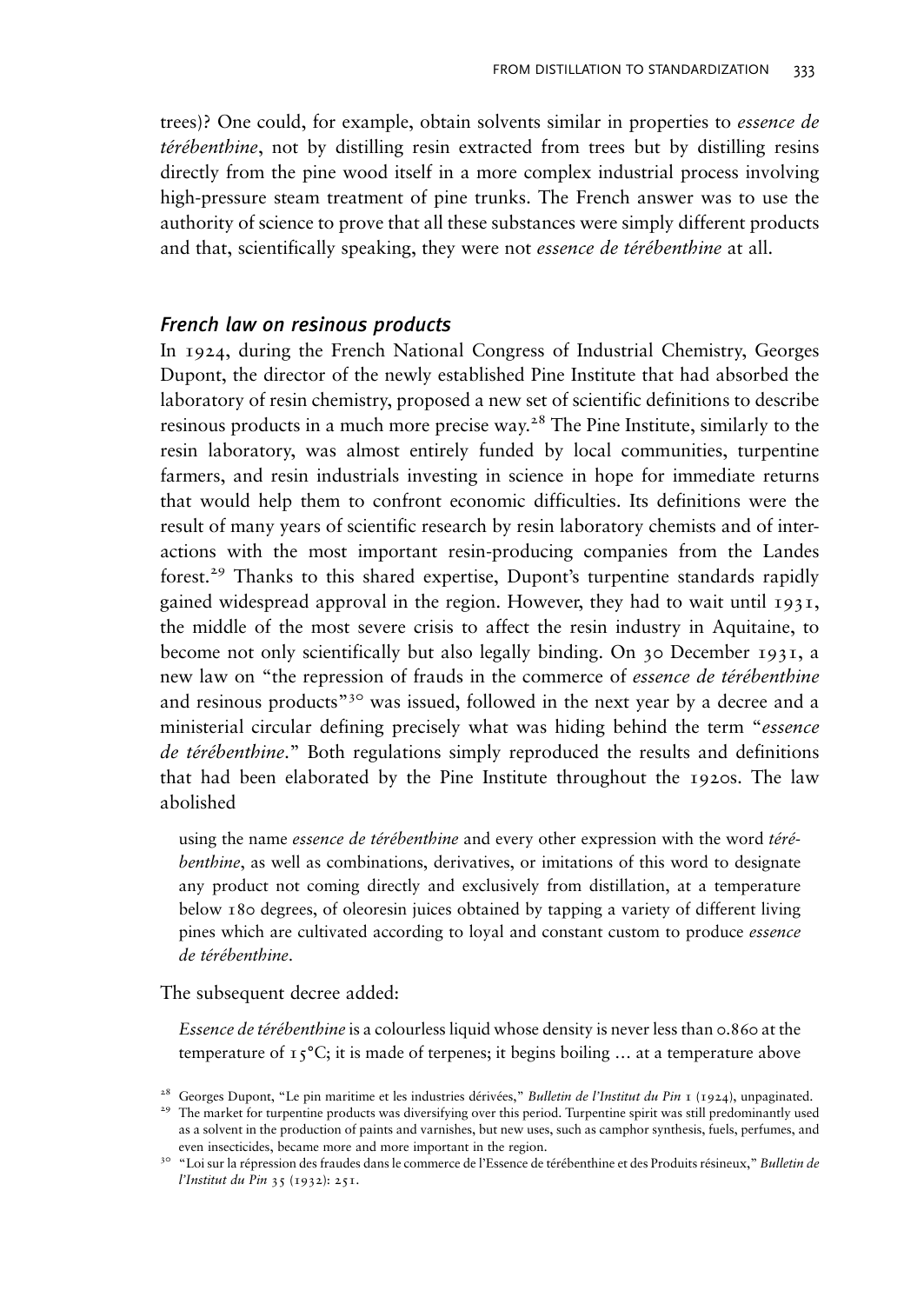trees)? One could, for example, obtain solvents similar in properties to essence de térébenthine, not by distilling resin extracted from trees but by distilling resins directly from the pine wood itself in a more complex industrial process involving high-pressure steam treatment of pine trunks. The French answer was to use the authority of science to prove that all these substances were simply different products and that, scientifically speaking, they were not essence de térébenthine at all.

#### French law on resinous products

In 1924, during the French National Congress of Industrial Chemistry, Georges Dupont, the director of the newly established Pine Institute that had absorbed the laboratory of resin chemistry, proposed a new set of scientific definitions to describe resinous products in a much more precise way.<sup>28</sup> The Pine Institute, similarly to the resin laboratory, was almost entirely funded by local communities, turpentine farmers, and resin industrials investing in science in hope for immediate returns that would help them to confront economic difficulties. Its definitions were the result of many years of scientific research by resin laboratory chemists and of interactions with the most important resin-producing companies from the Landes forest.<sup>29</sup> Thanks to this shared expertise, Dupont's turpentine standards rapidly gained widespread approval in the region. However, they had to wait until 1931, the middle of the most severe crisis to affect the resin industry in Aquitaine, to become not only scientifically but also legally binding. On 30 December 1931, a new law on "the repression of frauds in the commerce of essence de térébenthine and resinous products"<sup>30</sup> was issued, followed in the next year by a decree and a ministerial circular defining precisely what was hiding behind the term "*essence* de térébenthine." Both regulations simply reproduced the results and definitions that had been elaborated by the Pine Institute throughout the 1920s. The law abolished

using the name *essence de térébenthine* and every other expression with the word térébenthine, as well as combinations, derivatives, or imitations of this word to designate any product not coming directly and exclusively from distillation, at a temperature below 180 degrees, of oleoresin juices obtained by tapping a variety of different living pines which are cultivated according to loyal and constant custom to produce essence de térébenthine.

The subsequent decree added:

Essence de térébenthine is a colourless liquid whose density is never less than 0.860 at the temperature of  $15^{\circ}$ C; it is made of terpenes; it begins boiling ... at a temperature above

<sup>29</sup> The market for turpentine products was diversifying over this period. Turpentine spirit was still predominantly used as a solvent in the production of paints and varnishes, but new uses, such as camphor synthesis, fuels, perfumes, and even insecticides, became more and more important in the region.

<sup>&</sup>lt;sup>28</sup> Georges Dupont, "Le pin maritime et les industries dérivées," Bulletin de l'Institut du Pin 1 (1924), unpaginated.

<sup>&</sup>lt;sup>30</sup> "Loi sur la répression des fraudes dans le commerce de l'Essence de térébenthine et des Produits résineux," Bulletin de l'Institut du Pin 35 (1932): 251.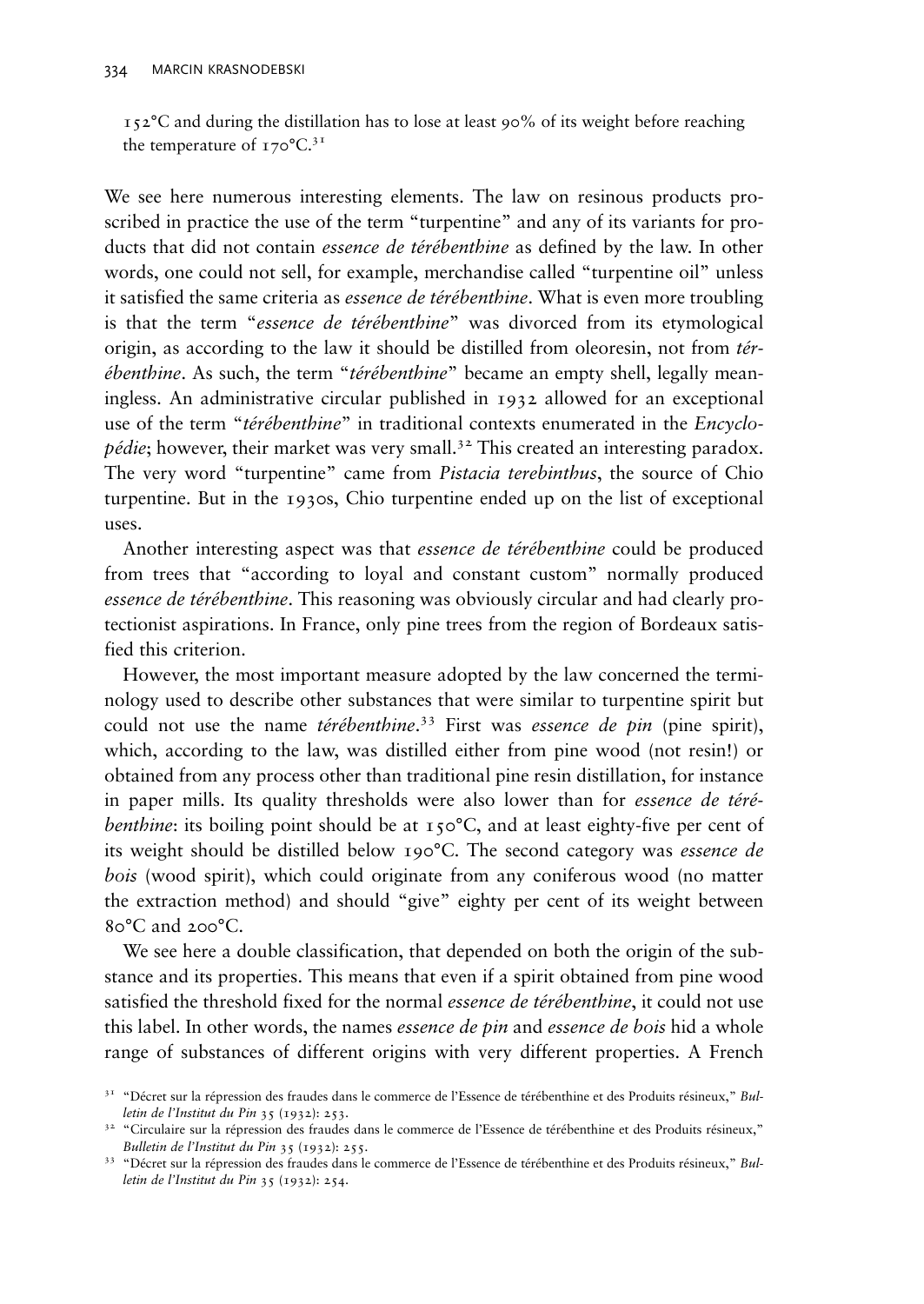152°C and during the distillation has to lose at least 90% of its weight before reaching the temperature of  $170^{\circ}C.^{31}$ 

We see here numerous interesting elements. The law on resinous products proscribed in practice the use of the term "turpentine" and any of its variants for products that did not contain *essence de térébenthine* as defined by the law. In other words, one could not sell, for example, merchandise called "turpentine oil" unless it satisfied the same criteria as essence de térébenthine. What is even more troubling is that the term "essence de térébenthine" was divorced from its etymological origin, as according to the law it should be distilled from oleoresin, not from tér*ébenthine*. As such, the term "*térébenthine*" became an empty shell, legally meaningless. An administrative circular published in 1932 allowed for an exceptional use of the term "*térébenthine*" in traditional contexts enumerated in the *Encyclo*pédie; however, their market was very small.<sup>32</sup> This created an interesting paradox. The very word "turpentine" came from Pistacia terebinthus, the source of Chio turpentine. But in the 1930s, Chio turpentine ended up on the list of exceptional uses.

Another interesting aspect was that essence de térébenthine could be produced from trees that "according to loyal and constant custom" normally produced essence de térébenthine. This reasoning was obviously circular and had clearly protectionist aspirations. In France, only pine trees from the region of Bordeaux satisfied this criterion.

However, the most important measure adopted by the law concerned the terminology used to describe other substances that were similar to turpentine spirit but could not use the name térébenthine.<sup>33</sup> First was essence de pin (pine spirit), which, according to the law, was distilled either from pine wood (not resin!) or obtained from any process other than traditional pine resin distillation, for instance in paper mills. Its quality thresholds were also lower than for essence de téré*benthine*: its boiling point should be at  $150^{\circ}$ C, and at least eighty-five per cent of its weight should be distilled below 190°C. The second category was essence de bois (wood spirit), which could originate from any coniferous wood (no matter the extraction method) and should "give" eighty per cent of its weight between 80°C and 200°C.

We see here a double classification, that depended on both the origin of the substance and its properties. This means that even if a spirit obtained from pine wood satisfied the threshold fixed for the normal *essence de térébenthine*, it could not use this label. In other words, the names essence de pin and essence de bois hid a whole range of substances of different origins with very different properties. A French

<sup>&</sup>lt;sup>31</sup> "Décret sur la répression des fraudes dans le commerce de l'Essence de térébenthine et des Produits résineux," Bulletin de l'Institut du Pin 35 (1932): 253.

<sup>&</sup>lt;sup>32</sup> "Circulaire sur la répression des fraudes dans le commerce de l'Essence de térébenthine et des Produits résineux," Bulletin de l'Institut du Pin 35 (1932): 255.

<sup>33</sup> "Décret sur la répression des fraudes dans le commerce de l'Essence de térébenthine et des Produits résineux," Bulletin de l'Institut du Pin 35 (1932): 254.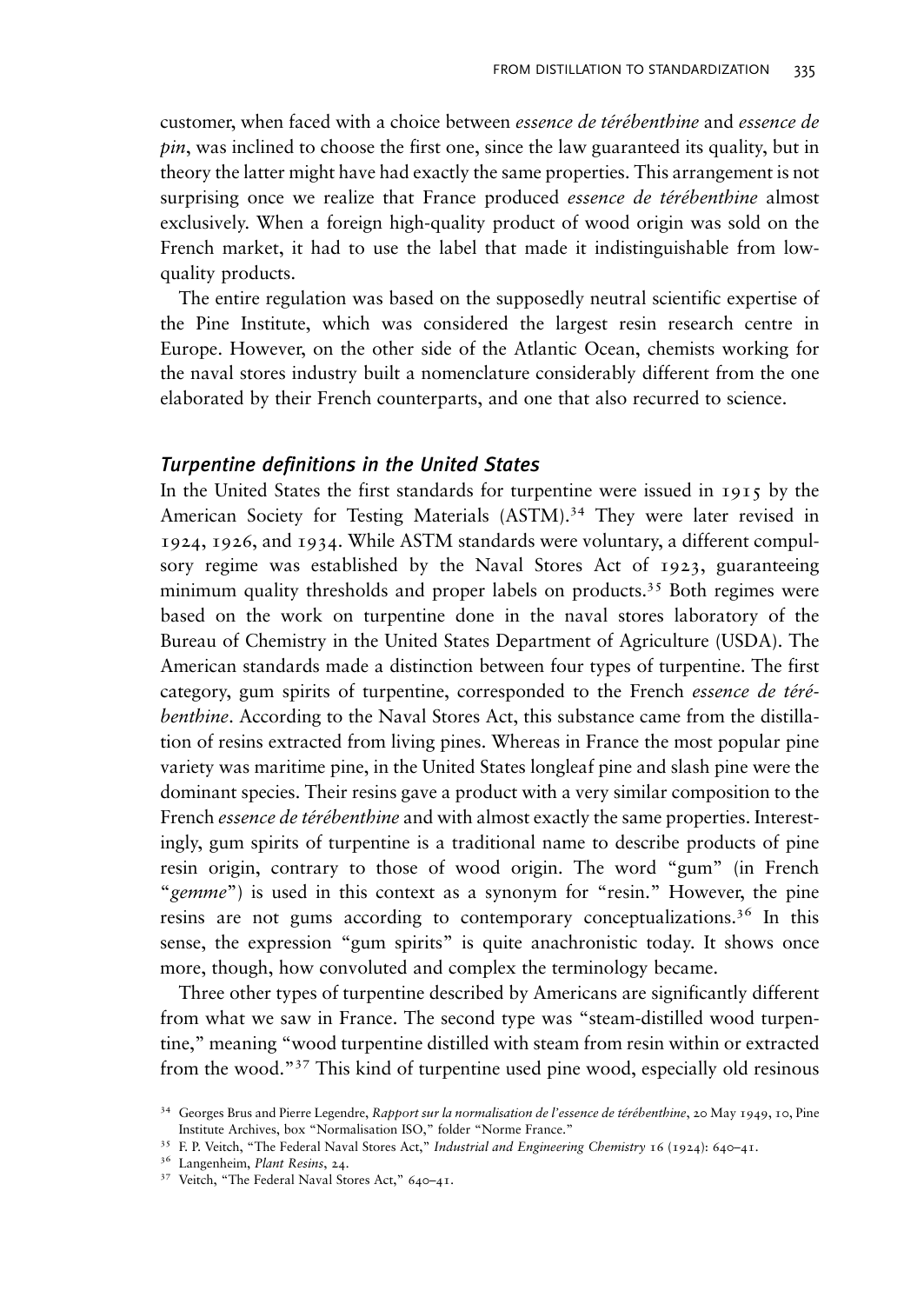customer, when faced with a choice between essence de térébenthine and essence de pin, was inclined to choose the first one, since the law guaranteed its quality, but in theory the latter might have had exactly the same properties. This arrangement is not surprising once we realize that France produced essence de térébenthine almost exclusively. When a foreign high-quality product of wood origin was sold on the French market, it had to use the label that made it indistinguishable from lowquality products.

The entire regulation was based on the supposedly neutral scientific expertise of the Pine Institute, which was considered the largest resin research centre in Europe. However, on the other side of the Atlantic Ocean, chemists working for the naval stores industry built a nomenclature considerably different from the one elaborated by their French counterparts, and one that also recurred to science.

#### Turpentine definitions in the United States

In the United States the first standards for turpentine were issued in 1915 by the American Society for Testing Materials (ASTM).<sup>34</sup> They were later revised in 1924, 1926, and 1934. While ASTM standards were voluntary, a different compulsory regime was established by the Naval Stores Act of 1923, guaranteeing minimum quality thresholds and proper labels on products.<sup>35</sup> Both regimes were based on the work on turpentine done in the naval stores laboratory of the Bureau of Chemistry in the United States Department of Agriculture (USDA). The American standards made a distinction between four types of turpentine. The first category, gum spirits of turpentine, corresponded to the French *essence de téré*benthine. According to the Naval Stores Act, this substance came from the distillation of resins extracted from living pines. Whereas in France the most popular pine variety was maritime pine, in the United States longleaf pine and slash pine were the dominant species. Their resins gave a product with a very similar composition to the French essence de térébenthine and with almost exactly the same properties. Interestingly, gum spirits of turpentine is a traditional name to describe products of pine resin origin, contrary to those of wood origin. The word "gum" (in French "gemme") is used in this context as a synonym for "resin." However, the pine resins are not gums according to contemporary conceptualizations.36 In this sense, the expression "gum spirits" is quite anachronistic today. It shows once more, though, how convoluted and complex the terminology became.

Three other types of turpentine described by Americans are significantly different from what we saw in France. The second type was "steam-distilled wood turpentine," meaning "wood turpentine distilled with steam from resin within or extracted from the wood."<sup>37</sup> This kind of turpentine used pine wood, especially old resinous

<sup>&</sup>lt;sup>34</sup> Georges Brus and Pierre Legendre, Rapport sur la normalisation de l'essence de térébenthine, 20 May 1949, 10, Pine Institute Archives, box "Normalisation ISO," folder "Norme France."

<sup>&</sup>lt;sup>35</sup> F. P. Veitch, "The Federal Naval Stores Act," Industrial and Engineering Chemistry 16 (1924): 640–41.

<sup>&</sup>lt;sup>36</sup> Langenheim, Plant Resins, 24.

<sup>37</sup> Veitch, "The Federal Naval Stores Act," 640–41.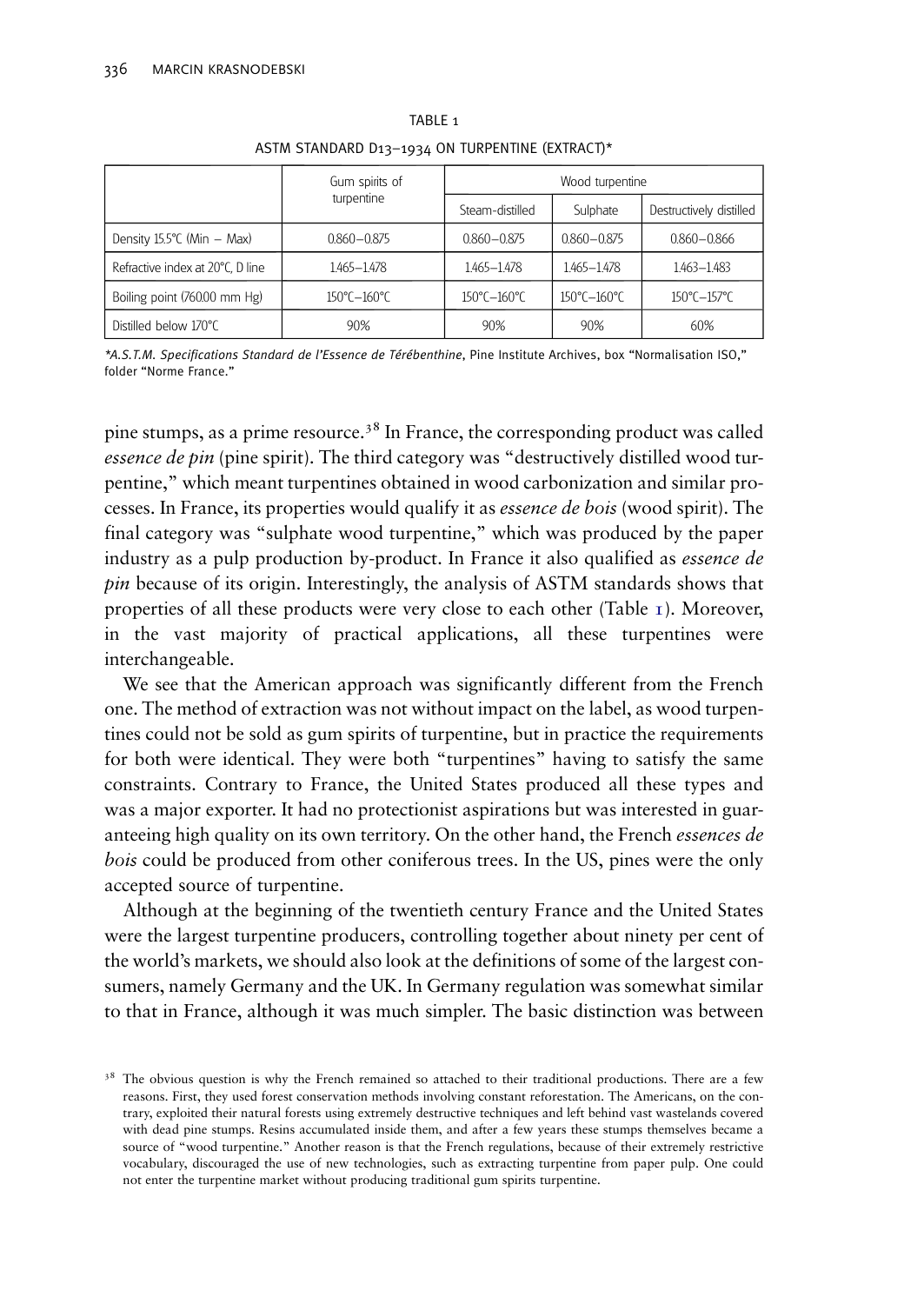|                                  | Gum spirits of<br>turpentine | Wood turpentine                  |                                  |                                  |
|----------------------------------|------------------------------|----------------------------------|----------------------------------|----------------------------------|
|                                  |                              | Steam-distilled                  | Sulphate                         | Destructively distilled          |
| Density 15.5°C (Min - Max)       | $0.860 - 0.875$              | $0.860 - 0.875$                  | $0.860 - 0.875$                  | 0.860-0.866                      |
| Refractive index at 20°C, D line | 1465-1478                    | 1465-1478                        | 1.465-1.478                      | 1463-1483                        |
| Boiling point (760.00 mm Hg)     | 150°C-160°C                  | $150^{\circ}$ C $-160^{\circ}$ C | $150^{\circ}$ C $-160^{\circ}$ C | $150^{\circ}$ C $-157^{\circ}$ C |
| Distilled below 170°C            | 90%                          | 90%                              | 90%                              | 60%                              |

TABLE 1 ASTM STANDARD D13–1934 ON TURPENTINE (EXTRACT)\*

\*A.S.T.M. Specifications Standard de l'Essence de Térébenthine, Pine Institute Archives, box "Normalisation ISO," folder "Norme France."

pine stumps, as a prime resource.<sup>38</sup> In France, the corresponding product was called essence de pin (pine spirit). The third category was "destructively distilled wood turpentine," which meant turpentines obtained in wood carbonization and similar processes. In France, its properties would qualify it as essence de bois (wood spirit). The final category was "sulphate wood turpentine," which was produced by the paper industry as a pulp production by-product. In France it also qualified as essence de pin because of its origin. Interestingly, the analysis of ASTM standards shows that properties of all these products were very close to each other (Table 1). Moreover, in the vast majority of practical applications, all these turpentines were interchangeable.

We see that the American approach was significantly different from the French one. The method of extraction was not without impact on the label, as wood turpentines could not be sold as gum spirits of turpentine, but in practice the requirements for both were identical. They were both "turpentines" having to satisfy the same constraints. Contrary to France, the United States produced all these types and was a major exporter. It had no protectionist aspirations but was interested in guaranteeing high quality on its own territory. On the other hand, the French *essences de* bois could be produced from other coniferous trees. In the US, pines were the only accepted source of turpentine.

Although at the beginning of the twentieth century France and the United States were the largest turpentine producers, controlling together about ninety per cent of the world's markets, we should also look at the definitions of some of the largest consumers, namely Germany and the UK. In Germany regulation was somewhat similar to that in France, although it was much simpler. The basic distinction was between

<sup>&</sup>lt;sup>38</sup> The obvious question is why the French remained so attached to their traditional productions. There are a few reasons. First, they used forest conservation methods involving constant reforestation. The Americans, on the contrary, exploited their natural forests using extremely destructive techniques and left behind vast wastelands covered with dead pine stumps. Resins accumulated inside them, and after a few years these stumps themselves became a source of "wood turpentine." Another reason is that the French regulations, because of their extremely restrictive vocabulary, discouraged the use of new technologies, such as extracting turpentine from paper pulp. One could not enter the turpentine market without producing traditional gum spirits turpentine.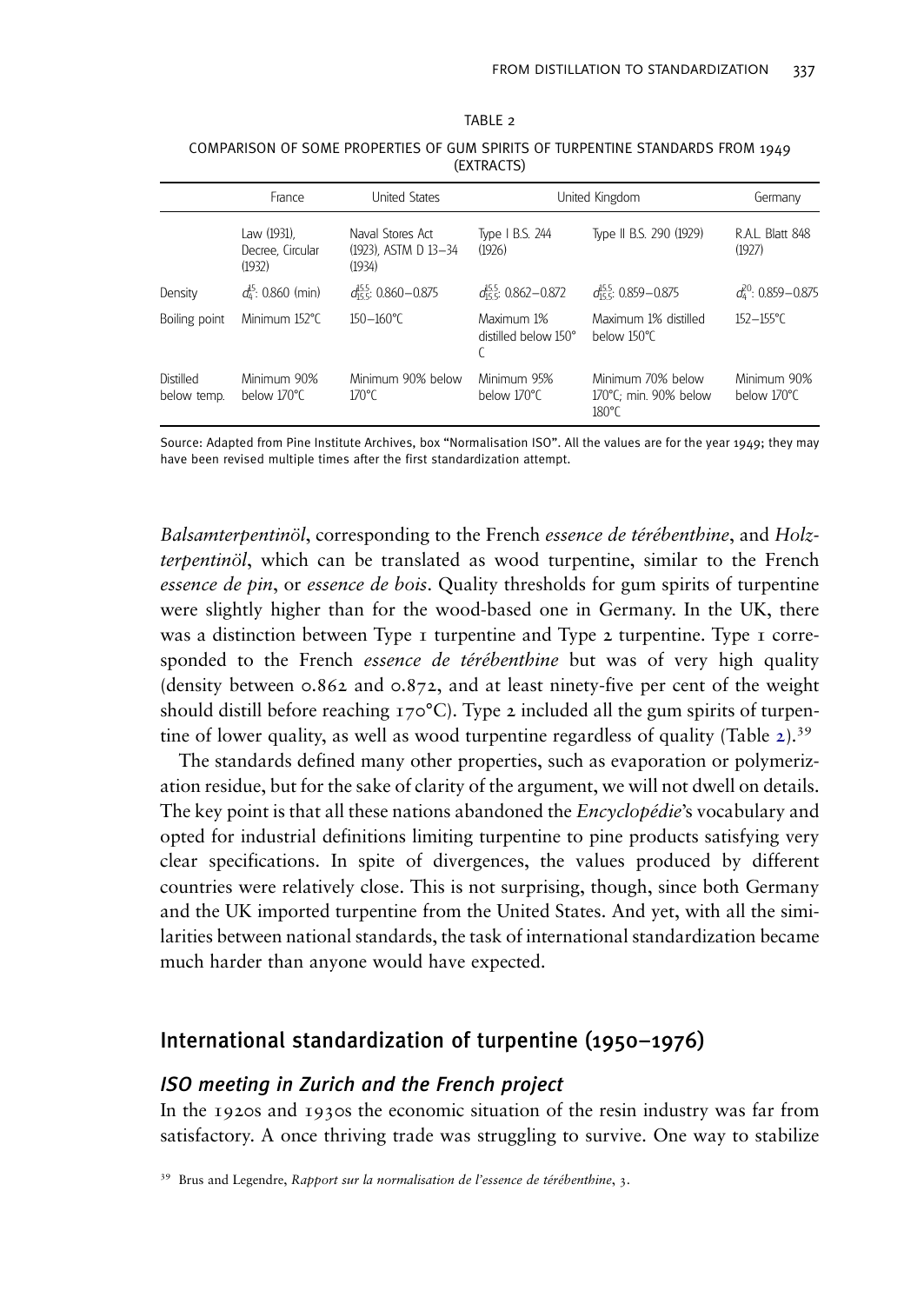|                          | France                                    | <b>United States</b>                               | United Kingdom                          | Germany                                                       |                            |
|--------------------------|-------------------------------------------|----------------------------------------------------|-----------------------------------------|---------------------------------------------------------------|----------------------------|
|                          | Law (1931).<br>Decree, Circular<br>(1932) | Naval Stores Act<br>(1923), ASTM D 13-34<br>(1934) | Type   B.S. 244<br>(1926)               | Type II B.S. 290 (1929)                                       | R.A.I. Blatt 848<br>(1927) |
| Density                  | $d_4^{\text{B}}$ : 0.860 (min)            | $d_{155}^{15.5}$ : 0.860 - 0.875                   | $d_{155}^{15.5}$ : 0.862-0.872          | $d_{15}^{15.5}$ : 0.859 - 0.875                               | $d_4^{20}$ : 0.859 - 0.875 |
| Boiling point            | Minimum 152°C                             | $150 - 160$ °C                                     | Maximum 1%<br>distilled below 150°<br>C | Maximum 1% distilled<br>below 150°C                           | $152 - 155^{\circ}$ C      |
| Distilled<br>below temp. | Minimum 90%<br>below 170°C                | Minimum 90% below<br>$170^{\circ}$ C               | Minimum 95%<br>below 170°C              | Minimum 70% below<br>170°C: min. 90% below<br>$180^{\circ}$ C | Minimum 90%<br>below 170°C |

TABLE 2 COMPARISON OF SOME PROPERTIES OF GUM SPIRITS OF TURPENTINE STANDARDS FROM 1949 (EXTRACTS)

Source: Adapted from Pine Institute Archives, box "Normalisation ISO". All the values are for the year 1949; they may have been revised multiple times after the first standardization attempt.

Balsamterpentinöl, corresponding to the French essence de térébenthine, and Holzterpentinöl, which can be translated as wood turpentine, similar to the French essence de pin, or essence de bois. Quality thresholds for gum spirits of turpentine were slightly higher than for the wood-based one in Germany. In the UK, there was a distinction between Type  $\bar{1}$  turpentine and Type  $\bar{2}$  turpentine. Type  $\bar{1}$  corresponded to the French *essence de térébenthine* but was of very high quality (density between 0.862 and 0.872, and at least ninety-five per cent of the weight should distill before reaching  $170^{\circ}$ C). Type 2 included all the gum spirits of turpentine of lower quality, as well as wood turpentine regardless of quality (Table  $2$ ).<sup>39</sup>

The standards defined many other properties, such as evaporation or polymerization residue, but for the sake of clarity of the argument, we will not dwell on details. The key point is that all these nations abandoned the *Encyclopédie'*s vocabulary and opted for industrial definitions limiting turpentine to pine products satisfying very clear specifications. In spite of divergences, the values produced by different countries were relatively close. This is not surprising, though, since both Germany and the UK imported turpentine from the United States. And yet, with all the similarities between national standards, the task of international standardization became much harder than anyone would have expected.

## International standardization of turpentine (1950–1976)

#### ISO meeting in Zurich and the French project

In the 1920s and 1930s the economic situation of the resin industry was far from satisfactory. A once thriving trade was struggling to survive. One way to stabilize

<sup>39</sup> Brus and Legendre, Rapport sur la normalisation de l'essence de térébenthine, 3.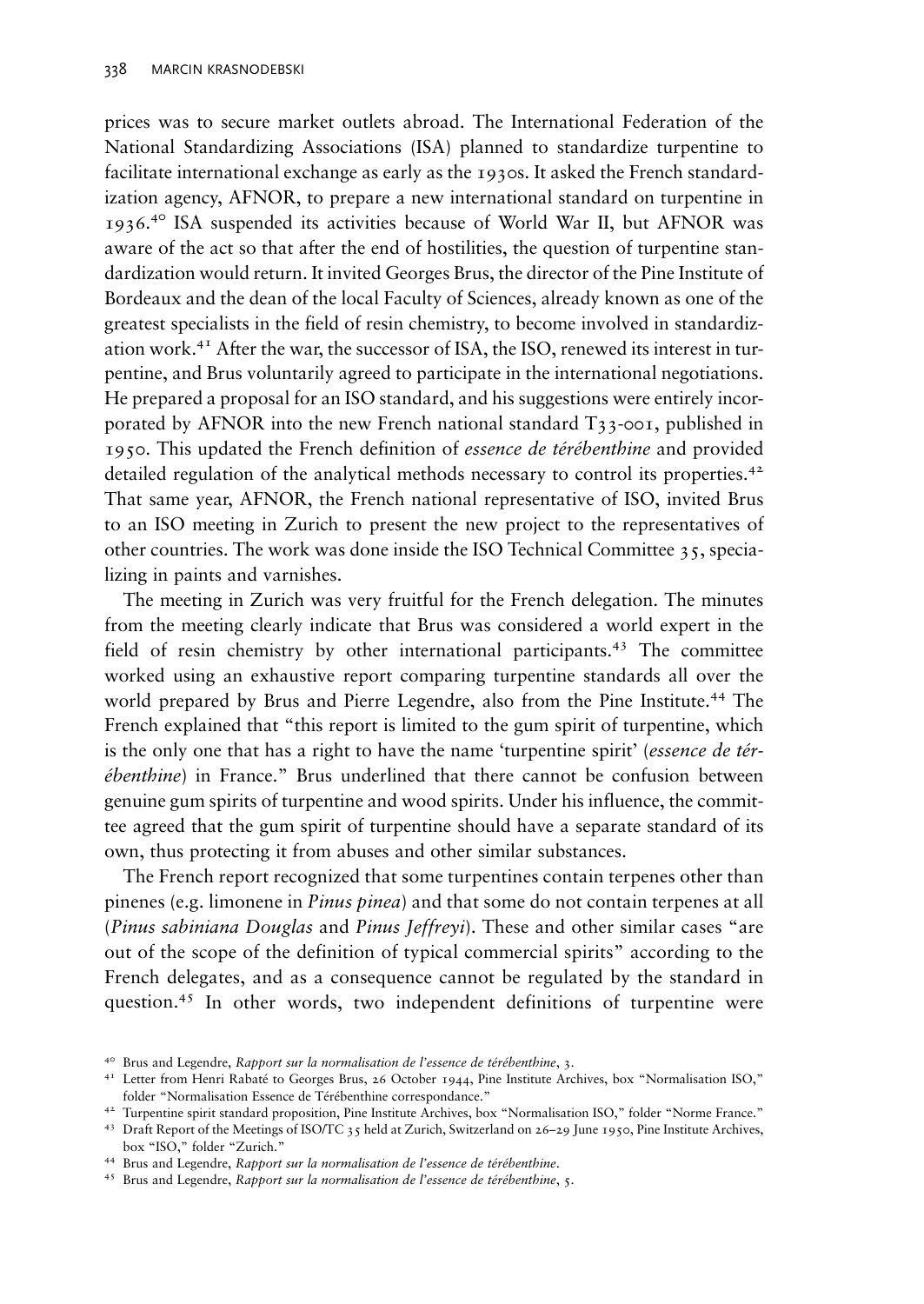prices was to secure market outlets abroad. The International Federation of the National Standardizing Associations (ISA) planned to standardize turpentine to facilitate international exchange as early as the 1930s. It asked the French standardization agency, AFNOR, to prepare a new international standard on turpentine in 1936.<sup>40</sup> ISA suspended its activities because of World War II, but AFNOR was aware of the act so that after the end of hostilities, the question of turpentine standardization would return. It invited Georges Brus, the director of the Pine Institute of Bordeaux and the dean of the local Faculty of Sciences, already known as one of the greatest specialists in the field of resin chemistry, to become involved in standardization work.41 After the war, the successor of ISA, the ISO, renewed its interest in turpentine, and Brus voluntarily agreed to participate in the international negotiations. He prepared a proposal for an ISO standard, and his suggestions were entirely incorporated by AFNOR into the new French national standard T33-001, published in 1950. This updated the French definition of essence de térébenthine and provided detailed regulation of the analytical methods necessary to control its properties.<sup>42</sup> That same year, AFNOR, the French national representative of ISO, invited Brus to an ISO meeting in Zurich to present the new project to the representatives of other countries. The work was done inside the ISO Technical Committee 35, specializing in paints and varnishes.

The meeting in Zurich was very fruitful for the French delegation. The minutes from the meeting clearly indicate that Brus was considered a world expert in the field of resin chemistry by other international participants.<sup>43</sup> The committee worked using an exhaustive report comparing turpentine standards all over the world prepared by Brus and Pierre Legendre, also from the Pine Institute.<sup>44</sup> The French explained that "this report is limited to the gum spirit of turpentine, which is the only one that has a right to have the name 'turpentine spirit' (essence de térébenthine) in France." Brus underlined that there cannot be confusion between genuine gum spirits of turpentine and wood spirits. Under his influence, the committee agreed that the gum spirit of turpentine should have a separate standard of its own, thus protecting it from abuses and other similar substances.

The French report recognized that some turpentines contain terpenes other than pinenes (e.g. limonene in Pinus pinea) and that some do not contain terpenes at all (Pinus sabiniana Douglas and Pinus Jeffreyi). These and other similar cases "are out of the scope of the definition of typical commercial spirits" according to the French delegates, and as a consequence cannot be regulated by the standard in question.<sup>45</sup> In other words, two independent definitions of turpentine were

 $40$  Brus and Legendre, Rapport sur la normalisation de l'essence de térébenthine, 3.

<sup>41</sup> Letter from Henri Rabaté to Georges Brus, 26 October 1944, Pine Institute Archives, box "Normalisation ISO," folder "Normalisation Essence de Térébenthine correspondance."

<sup>42</sup> Turpentine spirit standard proposition, Pine Institute Archives, box "Normalisation ISO," folder "Norme France."

<sup>43</sup> Draft Report of the Meetings of ISO/TC 35 held at Zurich, Switzerland on 26–29 June 1950, Pine Institute Archives, box "ISO," folder "Zurich."

<sup>44</sup> Brus and Legendre, Rapport sur la normalisation de l'essence de térébenthine.

<sup>45</sup> Brus and Legendre, Rapport sur la normalisation de l'essence de térébenthine, 5.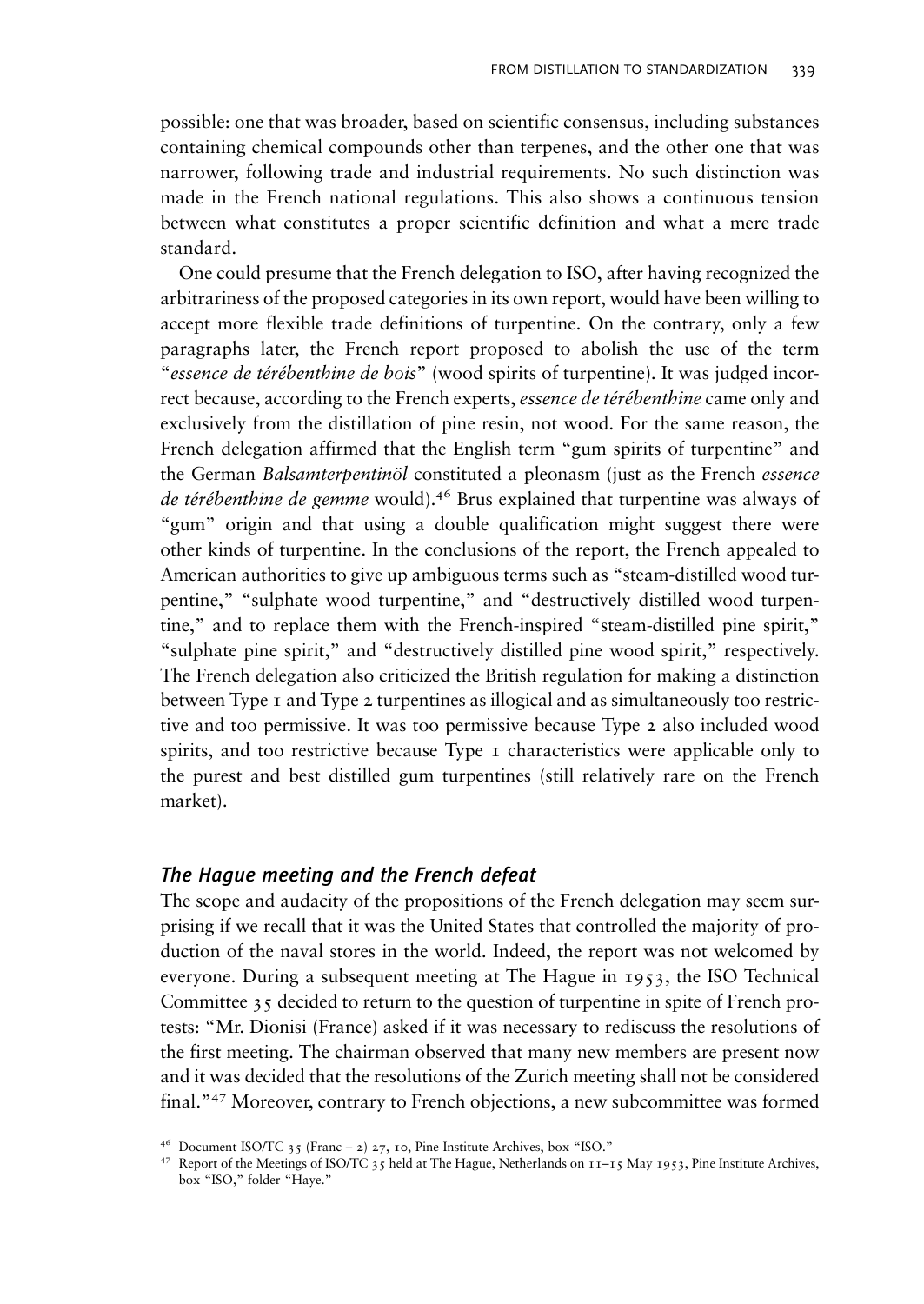possible: one that was broader, based on scientific consensus, including substances containing chemical compounds other than terpenes, and the other one that was narrower, following trade and industrial requirements. No such distinction was made in the French national regulations. This also shows a continuous tension between what constitutes a proper scientific definition and what a mere trade standard.

One could presume that the French delegation to ISO, after having recognized the arbitrariness of the proposed categories in its own report, would have been willing to accept more flexible trade definitions of turpentine. On the contrary, only a few paragraphs later, the French report proposed to abolish the use of the term "essence de térébenthine de bois" (wood spirits of turpentine). It was judged incorrect because, according to the French experts, *essence de térébenthine* came only and exclusively from the distillation of pine resin, not wood. For the same reason, the French delegation affirmed that the English term "gum spirits of turpentine" and the German Balsamterpentinöl constituted a pleonasm (just as the French essence de térébenthine de gemme would).<sup>46</sup> Brus explained that turpentine was always of "gum" origin and that using a double qualification might suggest there were other kinds of turpentine. In the conclusions of the report, the French appealed to American authorities to give up ambiguous terms such as "steam-distilled wood turpentine," "sulphate wood turpentine," and "destructively distilled wood turpentine," and to replace them with the French-inspired "steam-distilled pine spirit," "sulphate pine spirit," and "destructively distilled pine wood spirit," respectively. The French delegation also criticized the British regulation for making a distinction between Type 1 and Type 2 turpentines as illogical and as simultaneously too restrictive and too permissive. It was too permissive because Type 2 also included wood spirits, and too restrictive because Type 1 characteristics were applicable only to the purest and best distilled gum turpentines (still relatively rare on the French market).

#### The Hague meeting and the French defeat

The scope and audacity of the propositions of the French delegation may seem surprising if we recall that it was the United States that controlled the majority of production of the naval stores in the world. Indeed, the report was not welcomed by everyone. During a subsequent meeting at The Hague in 1953, the ISO Technical Committee 35 decided to return to the question of turpentine in spite of French protests: "Mr. Dionisi (France) asked if it was necessary to rediscuss the resolutions of the first meeting. The chairman observed that many new members are present now and it was decided that the resolutions of the Zurich meeting shall not be considered final."<sup>47</sup> Moreover, contrary to French objections, a new subcommittee was formed

<sup>46</sup> Document ISO/TC 35 (Franc – 2) 27, 10, Pine Institute Archives, box "ISO."

<sup>&</sup>lt;sup>47</sup> Report of the Meetings of ISO/TC 35 held at The Hague, Netherlands on  $11-15$  May 1953, Pine Institute Archives, box "ISO," folder "Haye."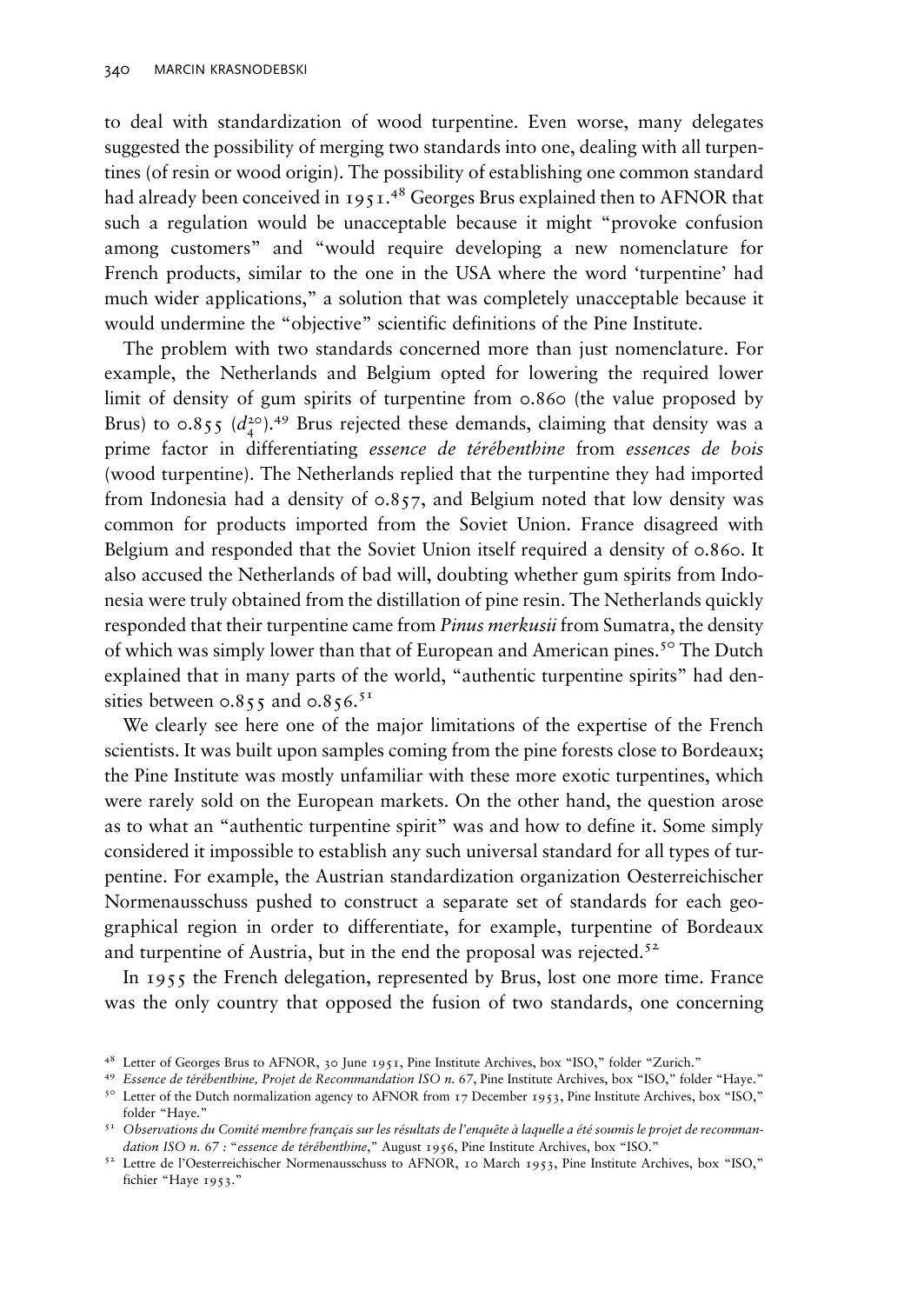to deal with standardization of wood turpentine. Even worse, many delegates suggested the possibility of merging two standards into one, dealing with all turpentines (of resin or wood origin). The possibility of establishing one common standard had already been conceived in 1951.<sup>48</sup> Georges Brus explained then to AFNOR that such a regulation would be unacceptable because it might "provoke confusion among customers" and "would require developing a new nomenclature for French products, similar to the one in the USA where the word 'turpentine' had much wider applications," a solution that was completely unacceptable because it would undermine the "objective" scientific definitions of the Pine Institute.

The problem with two standards concerned more than just nomenclature. For example, the Netherlands and Belgium opted for lowering the required lower limit of density of gum spirits of turpentine from 0.860 (the value proposed by Brus) to 0.855  $(d_4^{20})$ .<sup>49</sup> Brus rejected these demands, claiming that density was a prime factor in differentiating essence de térébenthine from essences de bois (wood turpentine). The Netherlands replied that the turpentine they had imported from Indonesia had a density of 0.857, and Belgium noted that low density was common for products imported from the Soviet Union. France disagreed with Belgium and responded that the Soviet Union itself required a density of 0.860. It also accused the Netherlands of bad will, doubting whether gum spirits from Indonesia were truly obtained from the distillation of pine resin. The Netherlands quickly responded that their turpentine came from Pinus merkusii from Sumatra, the density of which was simply lower than that of European and American pines.<sup>50</sup> The Dutch explained that in many parts of the world, "authentic turpentine spirits" had densities between  $0.855$  and  $0.856$ .<sup>51</sup>

We clearly see here one of the major limitations of the expertise of the French scientists. It was built upon samples coming from the pine forests close to Bordeaux; the Pine Institute was mostly unfamiliar with these more exotic turpentines, which were rarely sold on the European markets. On the other hand, the question arose as to what an "authentic turpentine spirit" was and how to define it. Some simply considered it impossible to establish any such universal standard for all types of turpentine. For example, the Austrian standardization organization Oesterreichischer Normenausschuss pushed to construct a separate set of standards for each geographical region in order to differentiate, for example, turpentine of Bordeaux and turpentine of Austria, but in the end the proposal was rejected.<sup>52</sup>

In 1955 the French delegation, represented by Brus, lost one more time. France was the only country that opposed the fusion of two standards, one concerning

<sup>48</sup> Letter of Georges Brus to AFNOR, 30 June 1951, Pine Institute Archives, box "ISO," folder "Zurich."

<sup>49</sup> Essence de térébenthine, Projet de Recommandation ISO n. 67, Pine Institute Archives, box "ISO," folder "Haye." <sup>50</sup> Letter of the Dutch normalization agency to AFNOR from 17 December 1953, Pine Institute Archives, box "ISO," folder "Haye."

<sup>&</sup>lt;sup>51</sup> Observations du Comité membre français sur les résultats de l'enquête à laquelle a été soumis le projet de recommandation ISO n. 67 : "essence de térébenthine," August 1956, Pine Institute Archives, box "ISO."

<sup>52</sup> Lettre de l'Oesterreichischer Normenausschuss to AFNOR, 10 March 1953, Pine Institute Archives, box "ISO," fichier "Haye 1953."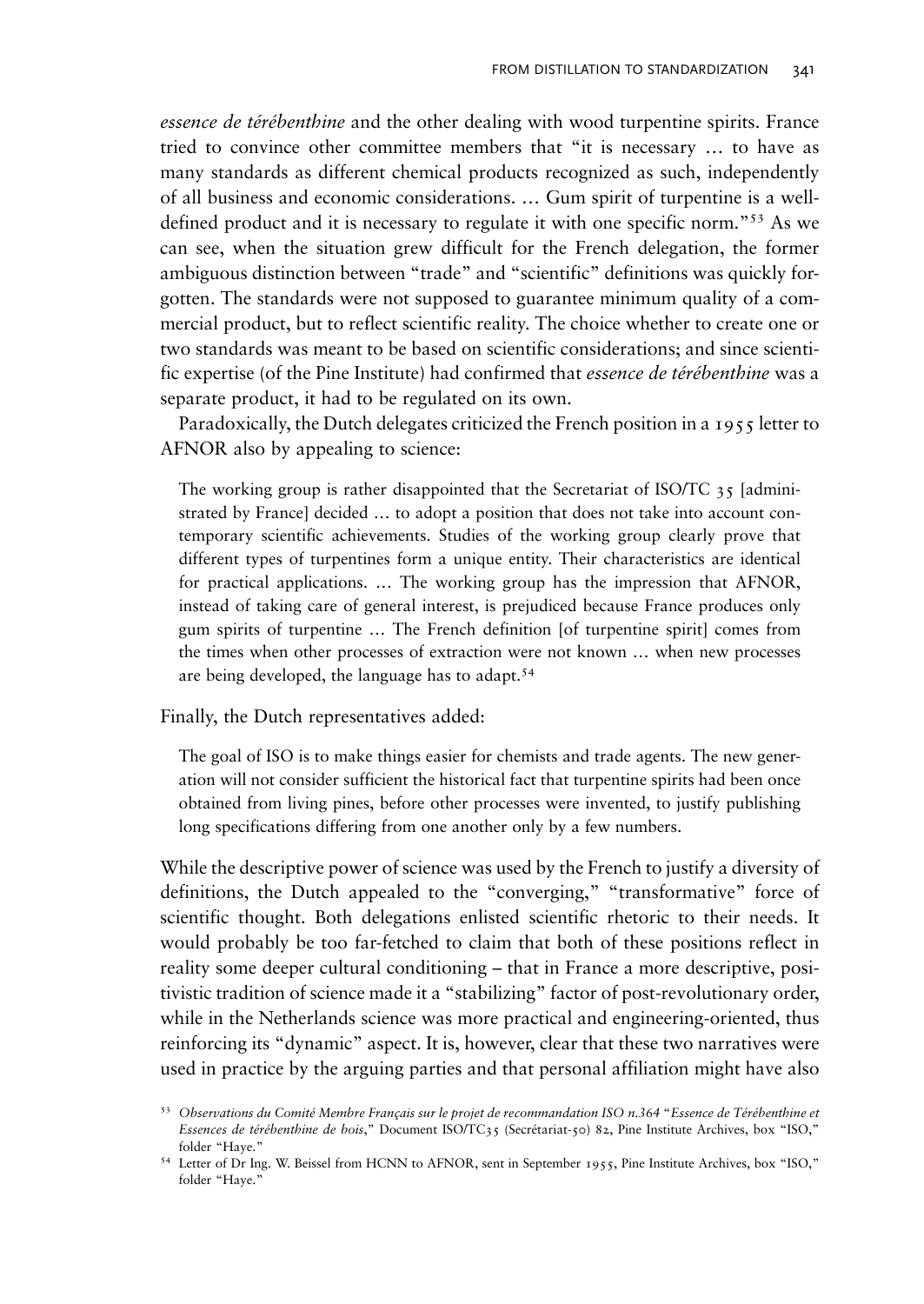essence de térébenthine and the other dealing with wood turpentine spirits. France tried to convince other committee members that "it is necessary … to have as many standards as different chemical products recognized as such, independently of all business and economic considerations. … Gum spirit of turpentine is a welldefined product and it is necessary to regulate it with one specific norm."<sup>53</sup> As we can see, when the situation grew difficult for the French delegation, the former ambiguous distinction between "trade" and "scientific" definitions was quickly forgotten. The standards were not supposed to guarantee minimum quality of a commercial product, but to reflect scientific reality. The choice whether to create one or two standards was meant to be based on scientific considerations; and since scientific expertise (of the Pine Institute) had confirmed that essence de térébenthine was a separate product, it had to be regulated on its own.

Paradoxically, the Dutch delegates criticized the French position in a 1955 letter to AFNOR also by appealing to science:

The working group is rather disappointed that the Secretariat of ISO/TC 35 [administrated by France] decided … to adopt a position that does not take into account contemporary scientific achievements. Studies of the working group clearly prove that different types of turpentines form a unique entity. Their characteristics are identical for practical applications. … The working group has the impression that AFNOR, instead of taking care of general interest, is prejudiced because France produces only gum spirits of turpentine … The French definition [of turpentine spirit] comes from the times when other processes of extraction were not known … when new processes are being developed, the language has to adapt.<sup>54</sup>

Finally, the Dutch representatives added:

The goal of ISO is to make things easier for chemists and trade agents. The new generation will not consider sufficient the historical fact that turpentine spirits had been once obtained from living pines, before other processes were invented, to justify publishing long specifications differing from one another only by a few numbers.

While the descriptive power of science was used by the French to justify a diversity of definitions, the Dutch appealed to the "converging," "transformative" force of scientific thought. Both delegations enlisted scientific rhetoric to their needs. It would probably be too far-fetched to claim that both of these positions reflect in reality some deeper cultural conditioning – that in France a more descriptive, positivistic tradition of science made it a "stabilizing" factor of post-revolutionary order, while in the Netherlands science was more practical and engineering-oriented, thus reinforcing its "dynamic" aspect. It is, however, clear that these two narratives were used in practice by the arguing parties and that personal affiliation might have also

<sup>53</sup> Observations du Comité Membre Français sur le projet de recommandation ISO n.364 "Essence de Térébenthine et Essences de térébenthine de bois," Document ISO/TC35 (Secrétariat-50) 82, Pine Institute Archives, box "ISO," folder "Haye."

<sup>54</sup> Letter of Dr Ing. W. Beissel from HCNN to AFNOR, sent in September 1955, Pine Institute Archives, box "ISO," folder "Haye."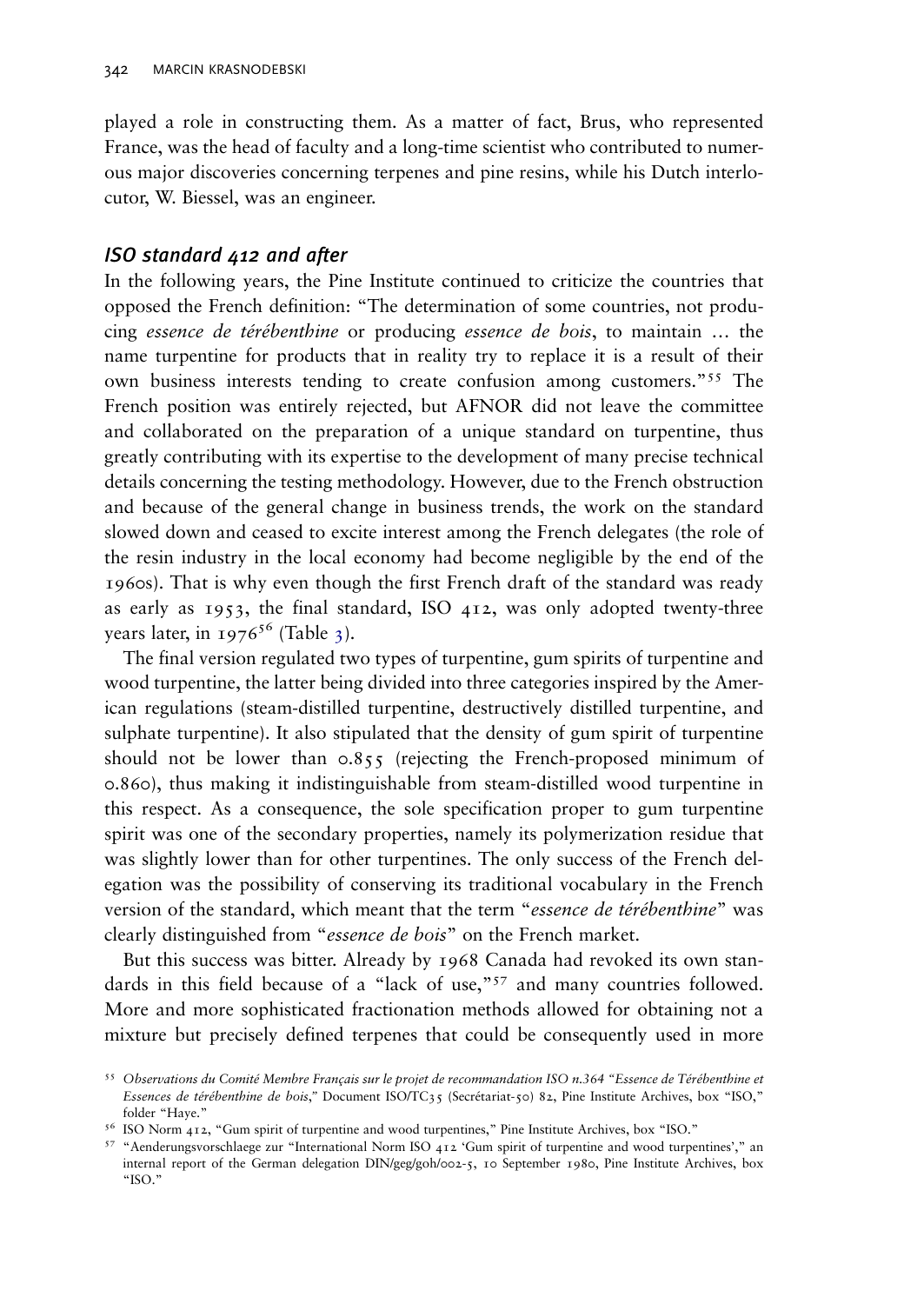played a role in constructing them. As a matter of fact, Brus, who represented France, was the head of faculty and a long-time scientist who contributed to numerous major discoveries concerning terpenes and pine resins, while his Dutch interlocutor, W. Biessel, was an engineer.

#### ISO standard 412 and after

In the following years, the Pine Institute continued to criticize the countries that opposed the French definition: "The determination of some countries, not producing essence de térébenthine or producing essence de bois, to maintain … the name turpentine for products that in reality try to replace it is a result of their own business interests tending to create confusion among customers."<sup>55</sup> The French position was entirely rejected, but AFNOR did not leave the committee and collaborated on the preparation of a unique standard on turpentine, thus greatly contributing with its expertise to the development of many precise technical details concerning the testing methodology. However, due to the French obstruction and because of the general change in business trends, the work on the standard slowed down and ceased to excite interest among the French delegates (the role of the resin industry in the local economy had become negligible by the end of the 1960s). That is why even though the first French draft of the standard was ready as early as 1953, the final standard, ISO 412, was only adopted twenty-three years later, in  $1976^{56}$  (Table [3\)](#page-18-0).

The final version regulated two types of turpentine, gum spirits of turpentine and wood turpentine, the latter being divided into three categories inspired by the American regulations (steam-distilled turpentine, destructively distilled turpentine, and sulphate turpentine). It also stipulated that the density of gum spirit of turpentine should not be lower than 0.855 (rejecting the French-proposed minimum of 0.860), thus making it indistinguishable from steam-distilled wood turpentine in this respect. As a consequence, the sole specification proper to gum turpentine spirit was one of the secondary properties, namely its polymerization residue that was slightly lower than for other turpentines. The only success of the French delegation was the possibility of conserving its traditional vocabulary in the French version of the standard, which meant that the term "essence de térébenthine" was clearly distinguished from "essence de bois" on the French market.

But this success was bitter. Already by 1968 Canada had revoked its own standards in this field because of a "lack of use,"<sup>57</sup> and many countries followed. More and more sophisticated fractionation methods allowed for obtaining not a mixture but precisely defined terpenes that could be consequently used in more

<sup>55</sup> Observations du Comité Membre Français sur le projet de recommandation ISO n.364 "Essence de Térébenthine et Essences de térébenthine de bois," Document ISO/TC35 (Secrétariat-50) 82, Pine Institute Archives, box "ISO," folder "Haye."

<sup>56</sup> ISO Norm 412, "Gum spirit of turpentine and wood turpentines," Pine Institute Archives, box "ISO."

<sup>57</sup> "Aenderungsvorschlaege zur "International Norm ISO 412 'Gum spirit of turpentine and wood turpentines'," an internal report of the German delegation DIN/geg/goh/002-5, 10 September 1980, Pine Institute Archives, box "ISO."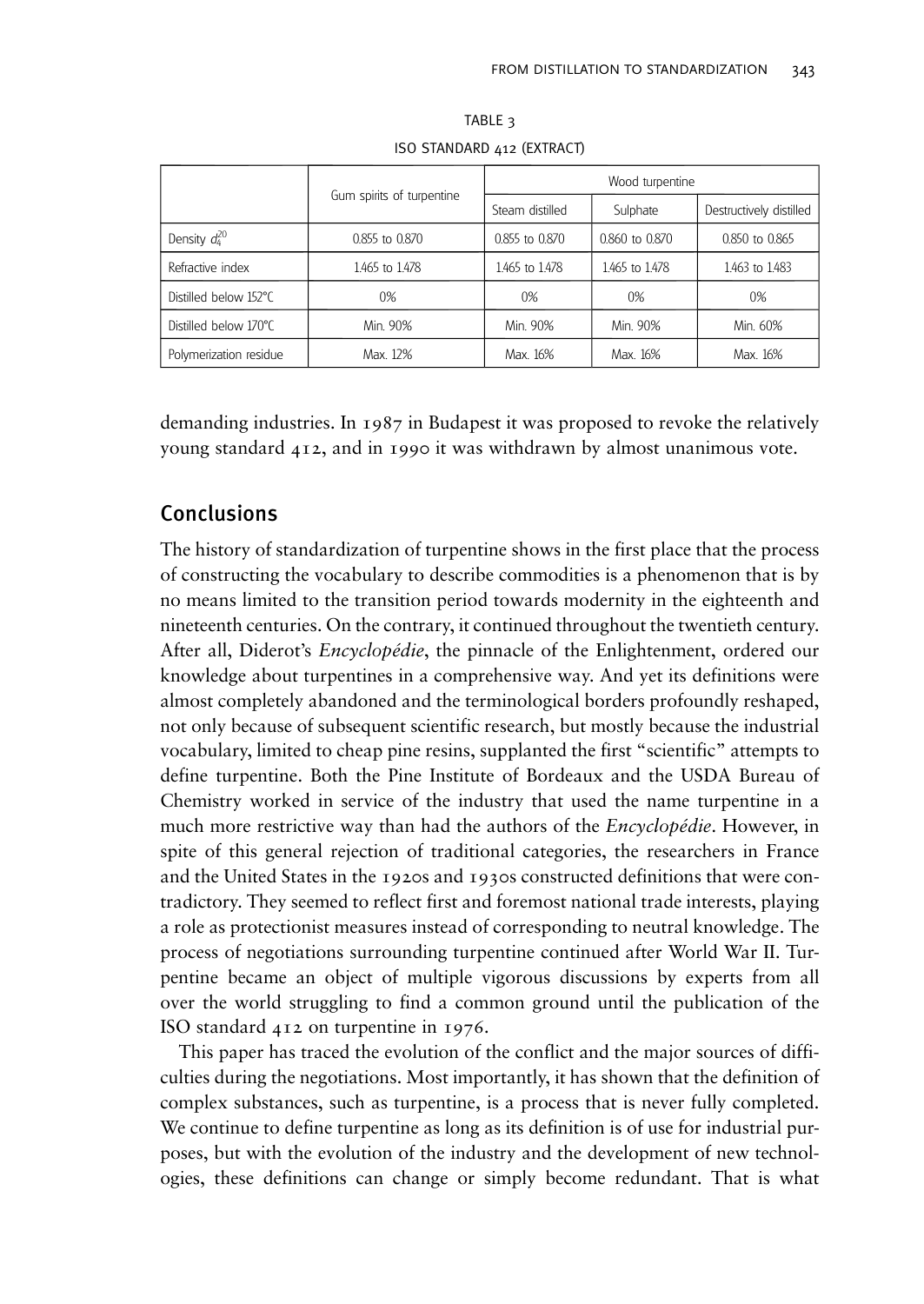<span id="page-18-0"></span>

|                        | Gum spirits of turpentine | Wood turpentine    |                    |                         |
|------------------------|---------------------------|--------------------|--------------------|-------------------------|
|                        |                           | Steam distilled    | Sulphate           | Destructively distilled |
| Density $d_4^{20}$     | $0.855$ to $0.870$        | $0.855$ to $0.870$ | $0.860$ to $0.870$ | $0.850$ to $0.865$      |
| Refractive index       | 1.465 to 1.478            | 1465 to 1478       | 1465 to 1478       | 1.463 to 1.483          |
| Distilled below 152°C  | 0%                        | 0%                 | 0%                 | 0%                      |
| Distilled below 170°C  | Min. 90%                  | Min. 90%           | Min. 90%           | Min. 60%                |
| Polymerization residue | Max. 12%                  | Max. 16%           | Max. 16%           | Max. 16%                |

TABLE 3 ISO STANDARD 412 (EXTRACT)

demanding industries. In 1987 in Budapest it was proposed to revoke the relatively young standard 412, and in 1990 it was withdrawn by almost unanimous vote.

## Conclusions

The history of standardization of turpentine shows in the first place that the process of constructing the vocabulary to describe commodities is a phenomenon that is by no means limited to the transition period towards modernity in the eighteenth and nineteenth centuries. On the contrary, it continued throughout the twentieth century. After all, Diderot's Encyclopédie, the pinnacle of the Enlightenment, ordered our knowledge about turpentines in a comprehensive way. And yet its definitions were almost completely abandoned and the terminological borders profoundly reshaped, not only because of subsequent scientific research, but mostly because the industrial vocabulary, limited to cheap pine resins, supplanted the first "scientific" attempts to define turpentine. Both the Pine Institute of Bordeaux and the USDA Bureau of Chemistry worked in service of the industry that used the name turpentine in a much more restrictive way than had the authors of the *Encyclopédie*. However, in spite of this general rejection of traditional categories, the researchers in France and the United States in the 1920s and 1930s constructed definitions that were contradictory. They seemed to reflect first and foremost national trade interests, playing a role as protectionist measures instead of corresponding to neutral knowledge. The process of negotiations surrounding turpentine continued after World War II. Turpentine became an object of multiple vigorous discussions by experts from all over the world struggling to find a common ground until the publication of the ISO standard 412 on turpentine in 1976.

This paper has traced the evolution of the conflict and the major sources of difficulties during the negotiations. Most importantly, it has shown that the definition of complex substances, such as turpentine, is a process that is never fully completed. We continue to define turpentine as long as its definition is of use for industrial purposes, but with the evolution of the industry and the development of new technologies, these definitions can change or simply become redundant. That is what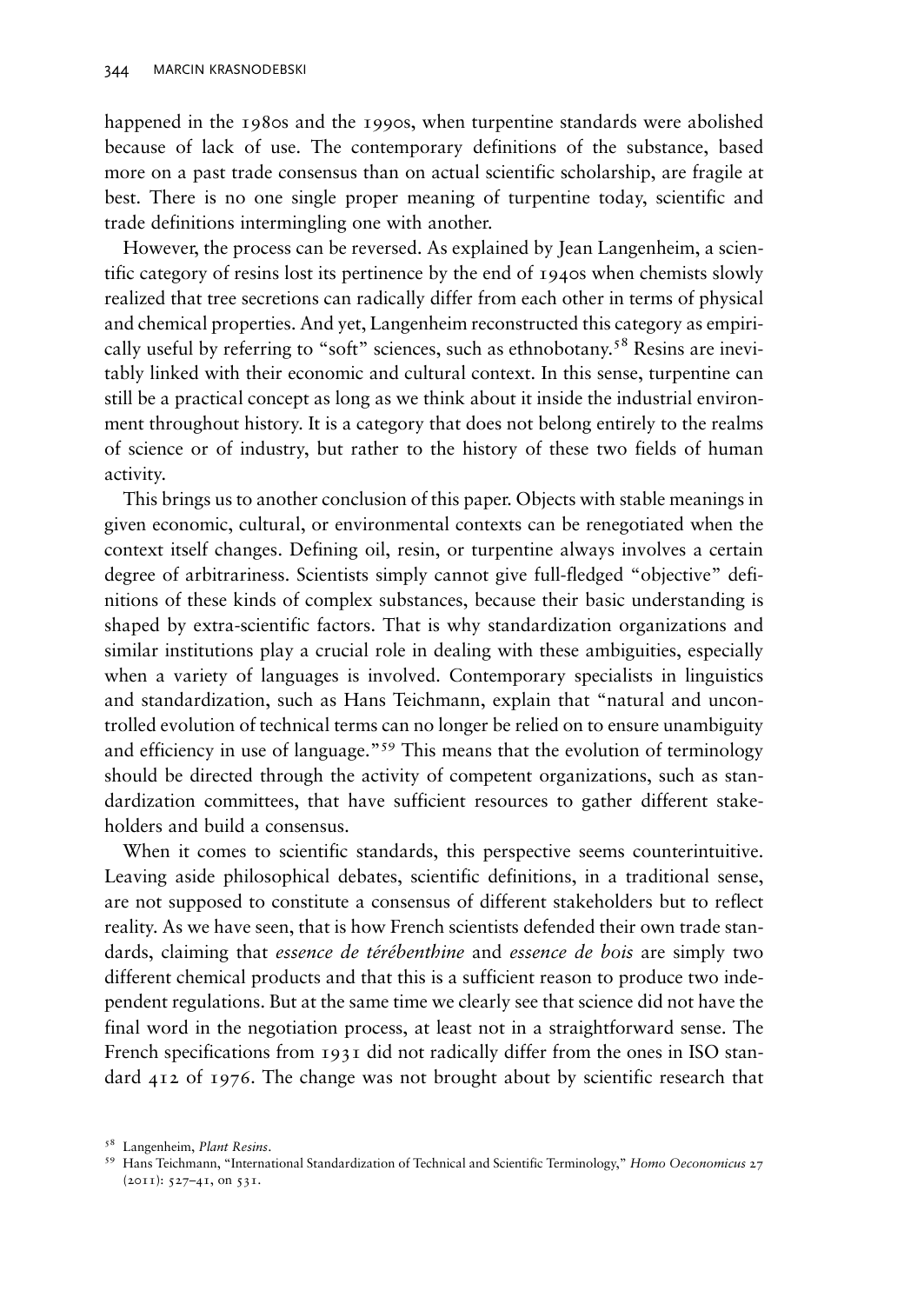happened in the 1980s and the 1990s, when turpentine standards were abolished because of lack of use. The contemporary definitions of the substance, based more on a past trade consensus than on actual scientific scholarship, are fragile at best. There is no one single proper meaning of turpentine today, scientific and trade definitions intermingling one with another.

However, the process can be reversed. As explained by Jean Langenheim, a scientific category of resins lost its pertinence by the end of 1940s when chemists slowly realized that tree secretions can radically differ from each other in terms of physical and chemical properties. And yet, Langenheim reconstructed this category as empirically useful by referring to "soft" sciences, such as ethnobotany.<sup>58</sup> Resins are inevitably linked with their economic and cultural context. In this sense, turpentine can still be a practical concept as long as we think about it inside the industrial environment throughout history. It is a category that does not belong entirely to the realms of science or of industry, but rather to the history of these two fields of human activity.

This brings us to another conclusion of this paper. Objects with stable meanings in given economic, cultural, or environmental contexts can be renegotiated when the context itself changes. Defining oil, resin, or turpentine always involves a certain degree of arbitrariness. Scientists simply cannot give full-fledged "objective" definitions of these kinds of complex substances, because their basic understanding is shaped by extra-scientific factors. That is why standardization organizations and similar institutions play a crucial role in dealing with these ambiguities, especially when a variety of languages is involved. Contemporary specialists in linguistics and standardization, such as Hans Teichmann, explain that "natural and uncontrolled evolution of technical terms can no longer be relied on to ensure unambiguity and efficiency in use of language."<sup>59</sup> This means that the evolution of terminology should be directed through the activity of competent organizations, such as standardization committees, that have sufficient resources to gather different stakeholders and build a consensus.

When it comes to scientific standards, this perspective seems counterintuitive. Leaving aside philosophical debates, scientific definitions, in a traditional sense, are not supposed to constitute a consensus of different stakeholders but to reflect reality. As we have seen, that is how French scientists defended their own trade standards, claiming that essence de térébenthine and essence de bois are simply two different chemical products and that this is a sufficient reason to produce two independent regulations. But at the same time we clearly see that science did not have the final word in the negotiation process, at least not in a straightforward sense. The French specifications from 1931 did not radically differ from the ones in ISO standard 412 of 1976. The change was not brought about by scientific research that

<sup>&</sup>lt;sup>58</sup> Langenheim, Plant Resins.

<sup>59</sup> Hans Teichmann, "International Standardization of Technical and Scientific Terminology," Homo Oeconomicus 27 (2011): 527–41, on 531.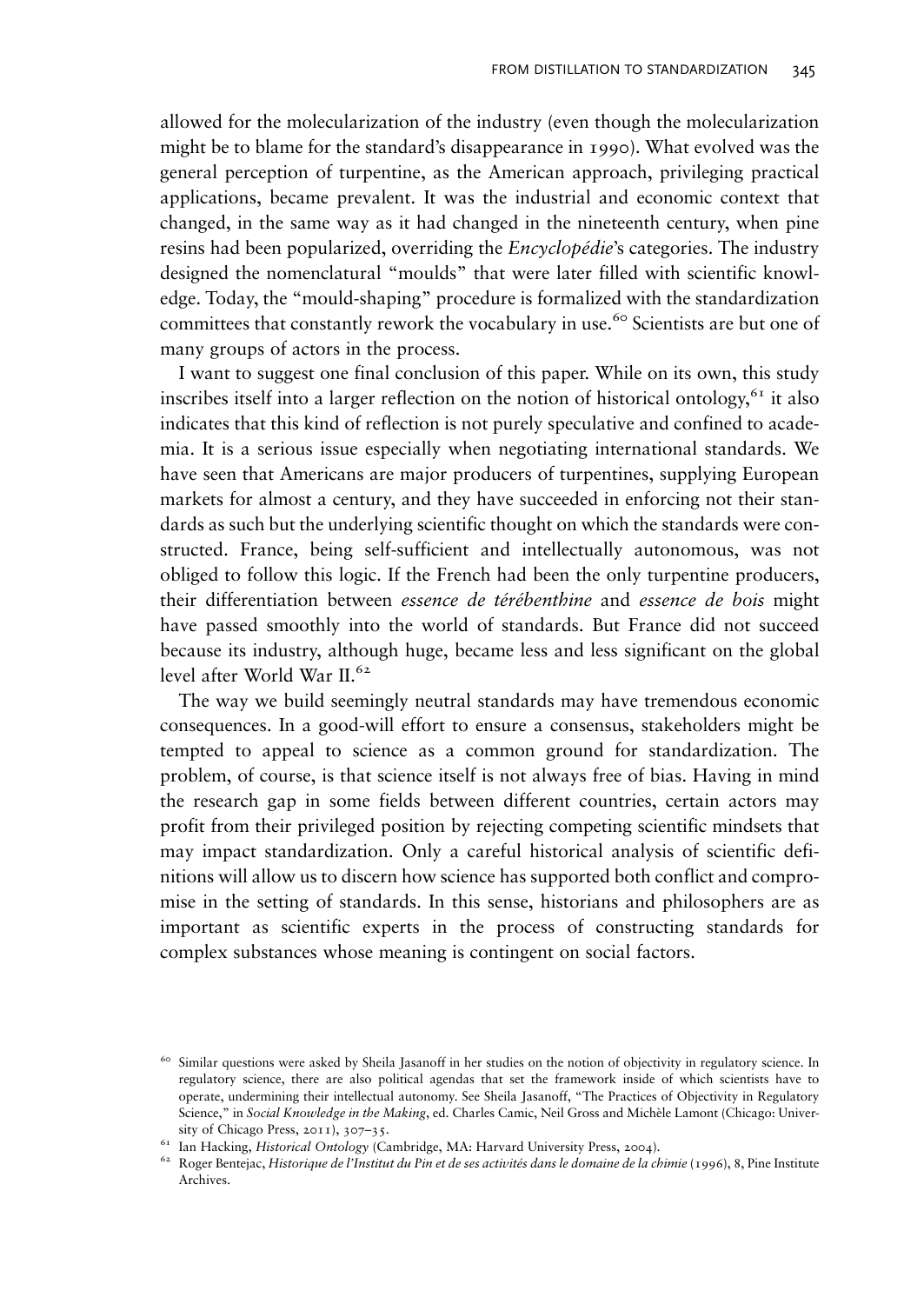allowed for the molecularization of the industry (even though the molecularization might be to blame for the standard's disappearance in 1990). What evolved was the general perception of turpentine, as the American approach, privileging practical applications, became prevalent. It was the industrial and economic context that changed, in the same way as it had changed in the nineteenth century, when pine resins had been popularized, overriding the *Encyclopédie's* categories. The industry designed the nomenclatural "moulds" that were later filled with scientific knowledge. Today, the "mould-shaping" procedure is formalized with the standardization committees that constantly rework the vocabulary in use.<sup>60</sup> Scientists are but one of many groups of actors in the process.

I want to suggest one final conclusion of this paper. While on its own, this study inscribes itself into a larger reflection on the notion of historical ontology,  $61$  it also indicates that this kind of reflection is not purely speculative and confined to academia. It is a serious issue especially when negotiating international standards. We have seen that Americans are major producers of turpentines, supplying European markets for almost a century, and they have succeeded in enforcing not their standards as such but the underlying scientific thought on which the standards were constructed. France, being self-sufficient and intellectually autonomous, was not obliged to follow this logic. If the French had been the only turpentine producers, their differentiation between essence de térébenthine and essence de bois might have passed smoothly into the world of standards. But France did not succeed because its industry, although huge, became less and less significant on the global level after World War II.<sup>62</sup>

The way we build seemingly neutral standards may have tremendous economic consequences. In a good-will effort to ensure a consensus, stakeholders might be tempted to appeal to science as a common ground for standardization. The problem, of course, is that science itself is not always free of bias. Having in mind the research gap in some fields between different countries, certain actors may profit from their privileged position by rejecting competing scientific mindsets that may impact standardization. Only a careful historical analysis of scientific definitions will allow us to discern how science has supported both conflict and compromise in the setting of standards. In this sense, historians and philosophers are as important as scientific experts in the process of constructing standards for complex substances whose meaning is contingent on social factors.

<sup>&</sup>lt;sup>60</sup> Similar questions were asked by Sheila Jasanoff in her studies on the notion of objectivity in regulatory science. In regulatory science, there are also political agendas that set the framework inside of which scientists have to operate, undermining their intellectual autonomy. See Sheila Jasanoff, "The Practices of Objectivity in Regulatory Science," in Social Knowledge in the Making, ed. Charles Camic, Neil Gross and Michèle Lamont (Chicago: University of Chicago Press, 2011), 307-35.

<sup>&</sup>lt;sup>61</sup> Ian Hacking, *Historical Ontology* (Cambridge, MA: Harvard University Press, 2004).

<sup>62</sup> Roger Bentejac, Historique de l'Institut du Pin et de ses activités dans le domaine de la chimie (1996), 8, Pine Institute Archives.